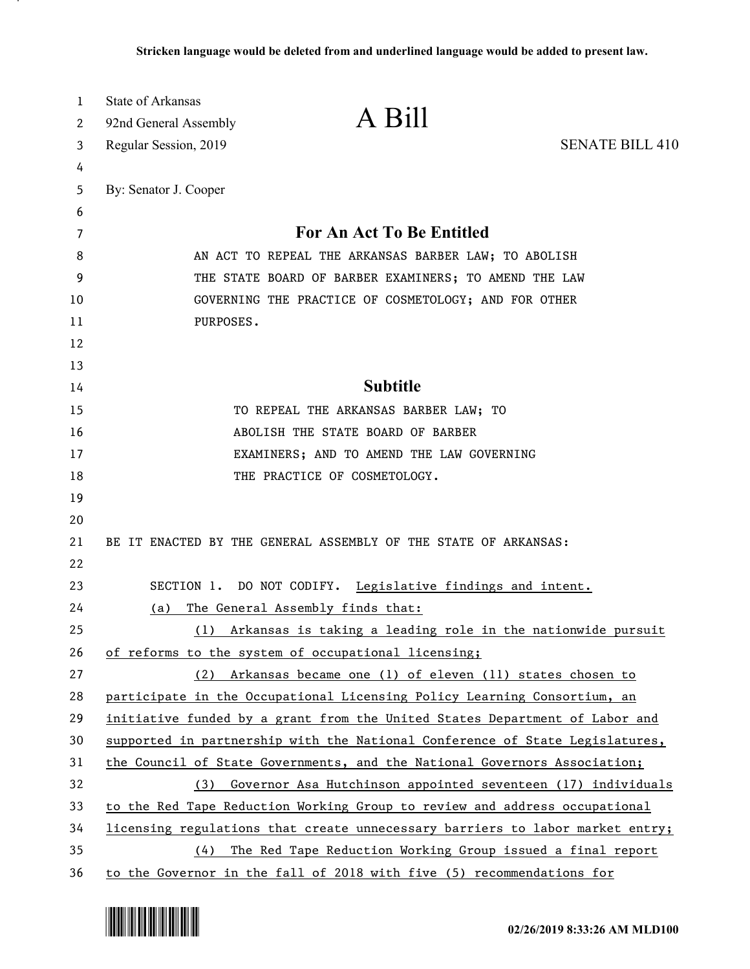| 1        | <b>State of Arkansas</b> | A Bill                                                                                                                                          |                        |
|----------|--------------------------|-------------------------------------------------------------------------------------------------------------------------------------------------|------------------------|
| 2        | 92nd General Assembly    |                                                                                                                                                 |                        |
| 3        | Regular Session, 2019    |                                                                                                                                                 | <b>SENATE BILL 410</b> |
| 4        |                          |                                                                                                                                                 |                        |
| 5        | By: Senator J. Cooper    |                                                                                                                                                 |                        |
| 6        |                          |                                                                                                                                                 |                        |
| 7        |                          | For An Act To Be Entitled                                                                                                                       |                        |
| 8        |                          | AN ACT TO REPEAL THE ARKANSAS BARBER LAW; TO ABOLISH                                                                                            |                        |
| 9        |                          | THE STATE BOARD OF BARBER EXAMINERS; TO AMEND THE LAW                                                                                           |                        |
| 10       |                          | GOVERNING THE PRACTICE OF COSMETOLOGY; AND FOR OTHER                                                                                            |                        |
| 11       | PURPOSES.                |                                                                                                                                                 |                        |
| 12       |                          |                                                                                                                                                 |                        |
| 13       |                          |                                                                                                                                                 |                        |
| 14       |                          | <b>Subtitle</b>                                                                                                                                 |                        |
| 15       |                          | TO REPEAL THE ARKANSAS BARBER LAW; TO                                                                                                           |                        |
| 16       |                          | ABOLISH THE STATE BOARD OF BARBER                                                                                                               |                        |
| 17       |                          | EXAMINERS; AND TO AMEND THE LAW GOVERNING                                                                                                       |                        |
| 18       |                          | THE PRACTICE OF COSMETOLOGY.                                                                                                                    |                        |
| 19       |                          |                                                                                                                                                 |                        |
| 20       |                          |                                                                                                                                                 |                        |
| 21       |                          | BE IT ENACTED BY THE GENERAL ASSEMBLY OF THE STATE OF ARKANSAS:                                                                                 |                        |
| 22       |                          |                                                                                                                                                 |                        |
| 23       |                          | SECTION 1. DO NOT CODIFY. Legislative findings and intent.                                                                                      |                        |
| 24       | (a)                      | The General Assembly finds that:                                                                                                                |                        |
| 25       |                          | (1) Arkansas is taking a leading role in the nationwide pursuit                                                                                 |                        |
| 26       |                          | of reforms to the system of occupational licensing;                                                                                             |                        |
| 27       |                          | (2) Arkansas became one (1) of eleven (11) states chosen to                                                                                     |                        |
| 28       |                          | participate in the Occupational Licensing Policy Learning Consortium, an                                                                        |                        |
| 29       |                          | initiative funded by a grant from the United States Department of Labor and                                                                     |                        |
| 30       |                          | supported in partnership with the National Conference of State Legislatures,                                                                    |                        |
| 31       |                          | the Council of State Governments, and the National Governors Association;                                                                       |                        |
| 32       |                          | (3) Governor Asa Hutchinson appointed seventeen (17) individuals                                                                                |                        |
| 33       |                          | to the Red Tape Reduction Working Group to review and address occupational                                                                      |                        |
| 34<br>35 |                          | licensing regulations that create unnecessary barriers to labor market entry;<br>(4) The Red Tape Reduction Working Group issued a final report |                        |
|          |                          |                                                                                                                                                 |                        |

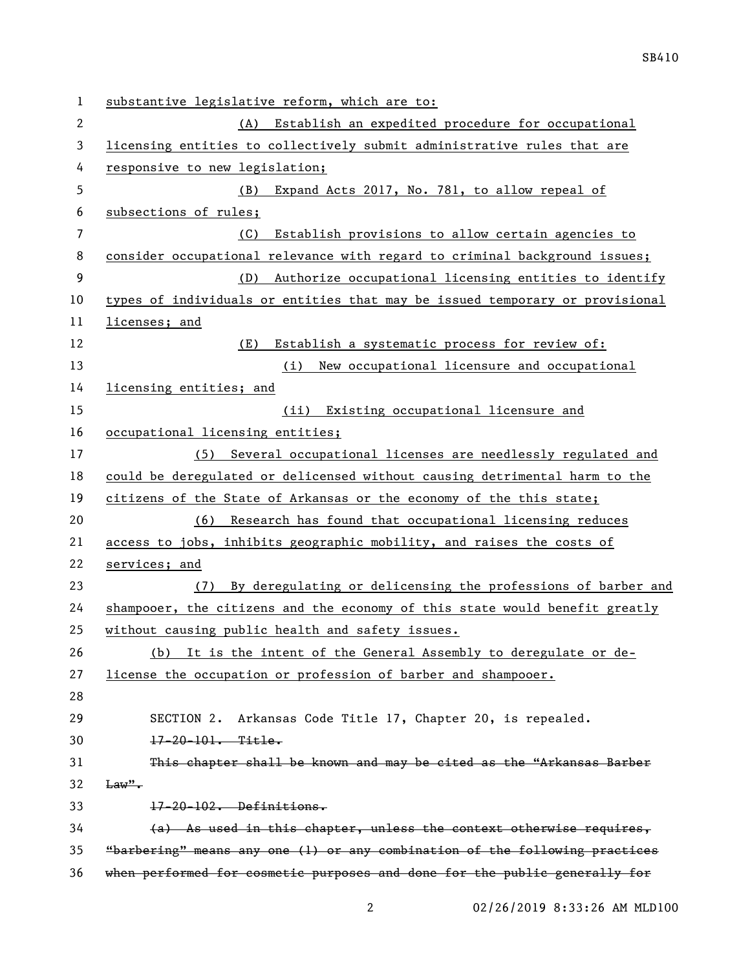| $\mathbf{1}$ | substantive legislative reform, which are to:                                |
|--------------|------------------------------------------------------------------------------|
| 2            | Establish an expedited procedure for occupational<br>(A)                     |
| 3            | licensing entities to collectively submit administrative rules that are      |
| 4            | responsive to new legislation;                                               |
| 5            | (B)<br>Expand Acts 2017, No. 781, to allow repeal of                         |
| 6            | subsections of rules;                                                        |
| 7            | (C)<br>Establish provisions to allow certain agencies to                     |
| 8            | consider occupational relevance with regard to criminal background issues;   |
| 9            | Authorize occupational licensing entities to identify<br>(D)                 |
| 10           | types of individuals or entities that may be issued temporary or provisional |
| 11           | licenses; and                                                                |
| 12           | (E)<br>Establish a systematic process for review of:                         |
| 13           | (i)<br>New occupational licensure and occupational                           |
| 14           | licensing entities; and                                                      |
| 15           | (ii) Existing occupational licensure and                                     |
| 16           | occupational licensing entities;                                             |
| 17           | (5) Several occupational licenses are needlessly regulated and               |
| 18           | could be deregulated or delicensed without causing detrimental harm to the   |
| 19           | citizens of the State of Arkansas or the economy of the this state;          |
| 20           | (6) Research has found that occupational licensing reduces                   |
| 21           | access to jobs, inhibits geographic mobility, and raises the costs of        |
| 22           | services; and                                                                |
| 23           | By deregulating or delicensing the professions of barber and<br>(7)          |
| 24           | shampooer, the citizens and the economy of this state would benefit greatly  |
| 25           | without causing public health and safety issues.                             |
| 26           | (b) It is the intent of the General Assembly to deregulate or de-            |
| 27           | license the occupation or profession of barber and shampooer.                |
| 28           |                                                                              |
| 29           | SECTION 2. Arkansas Code Title 17, Chapter 20, is repealed.                  |
| 30           | $17 - 20 - 101$ . Title.                                                     |
| 31           | This chapter shall be known and may be cited as the "Arkansas Barber         |
| 32           | $\text{Law}$ ".                                                              |
| 33           | 17-20-102. Definitions.                                                      |
| 34           | (a) As used in this chapter, unless the context otherwise requires,          |
| 35           | "barbering" means any one (1) or any combination of the following practices  |
| 36           | when performed for cosmetic purposes and done for the public generally for   |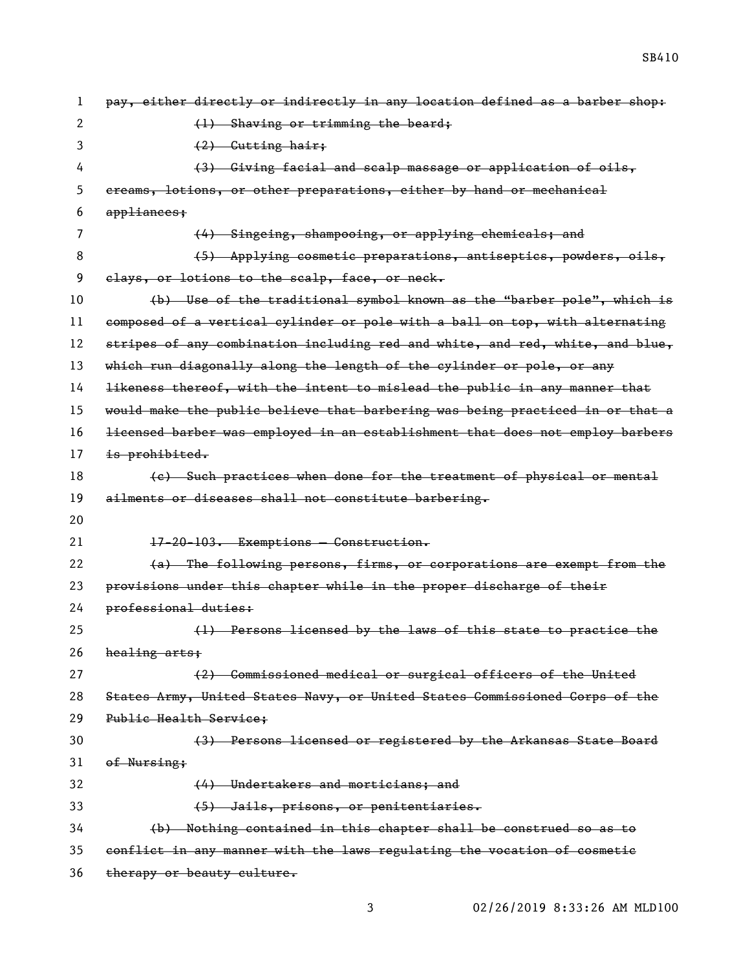| 1  | pay, either directly or indirectly in any location defined as a barber shop:  |
|----|-------------------------------------------------------------------------------|
| 2  | (1) Shaving or trimming the beard;                                            |
| 3  | (2) Cutting hair;                                                             |
| 4  | (3) Giving facial and scalp massage or application of oils,                   |
| 5  | ereams, lotions, or other preparations, either by hand or mechanical          |
| 6  | appliances;                                                                   |
| 7  | (4) Singeing, shampooing, or applying chemicals; and                          |
| 8  | (5) Applying cosmetic preparations, antiseptics, powders, oils,               |
| 9  | elays, or lotions to the scalp, face, or neck.                                |
| 10 | (b) Use of the traditional symbol known as the "barber pole", which is        |
| 11 | composed of a vertical cylinder or pole with a ball on top, with alternating  |
| 12 | stripes of any combination including red and white, and red, white, and blue, |
| 13 | which run diagonally along the length of the cylinder or pole, or any         |
| 14 | likeness thereof, with the intent to mislead the public in any manner that    |
| 15 | would make the public believe that barbering was being practiced in or that a |
| 16 | licensed barber was employed in an establishment that does not employ barbers |
| 17 | is prohibited.                                                                |
| 18 | (e) Such practices when done for the treatment of physical or mental          |
| 19 | ailments or diseases shall not constitute barbering.                          |
| 20 |                                                                               |
| 21 | 17-20-103. Exemptions - Construction.                                         |
| 22 | (a) The following persons, firms, or corporations are exempt from the         |
| 23 | provisions under this chapter while in the proper discharge of their          |
| 24 | professional duties:                                                          |
| 25 | (1) Persons licensed by the laws of this state to practice the                |
| 26 | healing arts;                                                                 |
| 27 | (2) Commissioned medical or surgical officers of the United                   |
| 28 | States Army, United States Navy, or United States Commissioned Corps of the   |
| 29 | Public Health Service:                                                        |
| 30 | (3) Persons licensed or registered by the Arkansas State Board                |
| 31 | of Nursing;                                                                   |
| 32 | (4) Undertakers and morticians; and                                           |
| 33 | (5) Jails, prisons, or penitentiaries.                                        |
| 34 |                                                                               |
|    | (b) Nothing contained in this chapter shall be construed so as to             |
| 35 | conflict in any manner with the laws regulating the vocation of cosmetic      |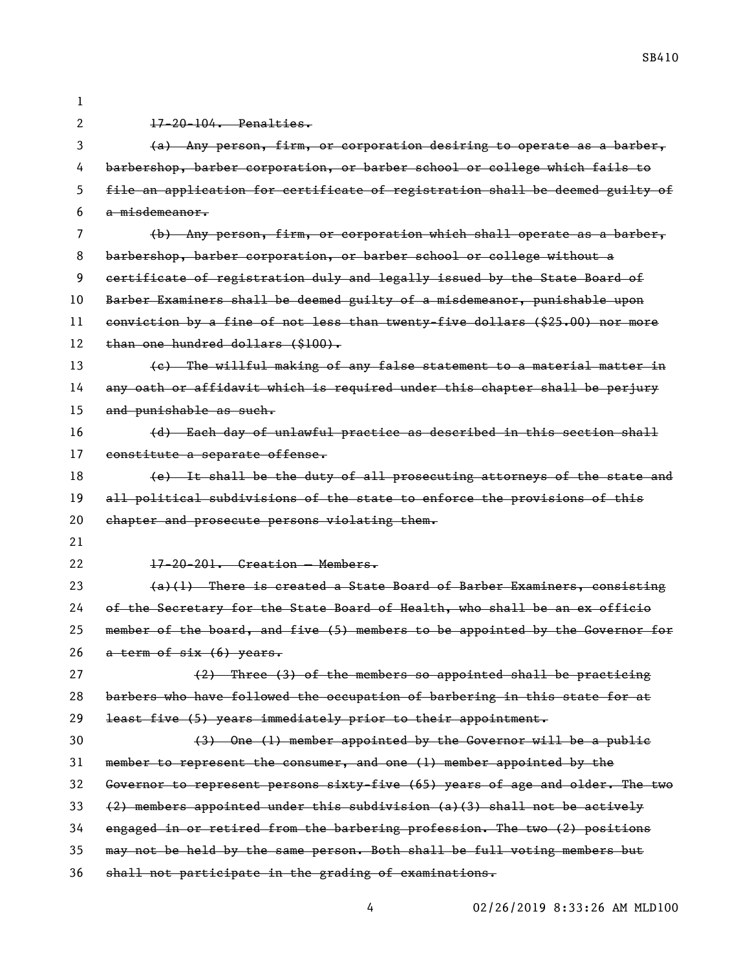| 1  |                                                                               |
|----|-------------------------------------------------------------------------------|
| 2  | $17 - 20 - 104$ . Penalties.                                                  |
| 3  | (a) Any person, firm, or corporation desiring to operate as a barber,         |
| 4  | barbershop, barber corporation, or barber school or college which fails to    |
| 5  | file an application for certificate of registration shall be deemed guilty of |
| 6  | <del>a misdemeanor.</del>                                                     |
| 7  | (b) Any person, firm, or corporation which shall operate as a barber,         |
| 8  | barbershop, barber corporation, or barber school or college without a         |
| 9  | certificate of registration duly and legally issued by the State Board of     |
| 10 | Barber Examiners shall be deemed guilty of a misdemeanor, punishable upon     |
| 11 | conviction by a fine of not less than twenty-five dollars (\$25.00) nor more  |
| 12 | than one hundred dollars (\$100).                                             |
| 13 | (e) The willful making of any false statement to a material matter in         |
| 14 | any oath or affidavit which is required under this chapter shall be perjury   |
| 15 | and punishable as such.                                                       |
| 16 | (d) Each day of unlawful practice as described in this section shall          |
| 17 | constitute a separate offense.                                                |
| 18 | (e) It shall be the duty of all prosecuting attorneys of the state and        |
|    |                                                                               |
| 19 | all political subdivisions of the state to enforce the provisions of this     |
| 20 | chapter and prosecute persons violating them.                                 |
| 21 |                                                                               |
| 22 | 17-20-201. Creation - Members.                                                |
| 23 | $(a)(1)$ There is created a State Board of Barber Examiners, consisting       |
| 24 | of the Secretary for the State Board of Health, who shall be an ex officio    |
| 25 | member of the board, and five (5) members to be appointed by the Governor for |
| 26 | a term of six (6) years.                                                      |
| 27 | (2) Three (3) of the members so appointed shall be practicing                 |
| 28 | barbers who have followed the occupation of barbering in this state for at    |
| 29 | least five (5) years immediately prior to their appointment.                  |
| 30 | (3) One (1) member appointed by the Governor will be a public                 |
| 31 | member to represent the consumer, and one (1) member appointed by the         |
| 32 | Governor to represent persons sixty-five (65) years of age and older. The two |
| 33 | (2) members appointed under this subdivision (a)(3) shall not be actively     |
| 34 | engaged in or retired from the barbering profession. The two (2) positions    |
| 35 | may not be held by the same person. Both shall be full voting members but     |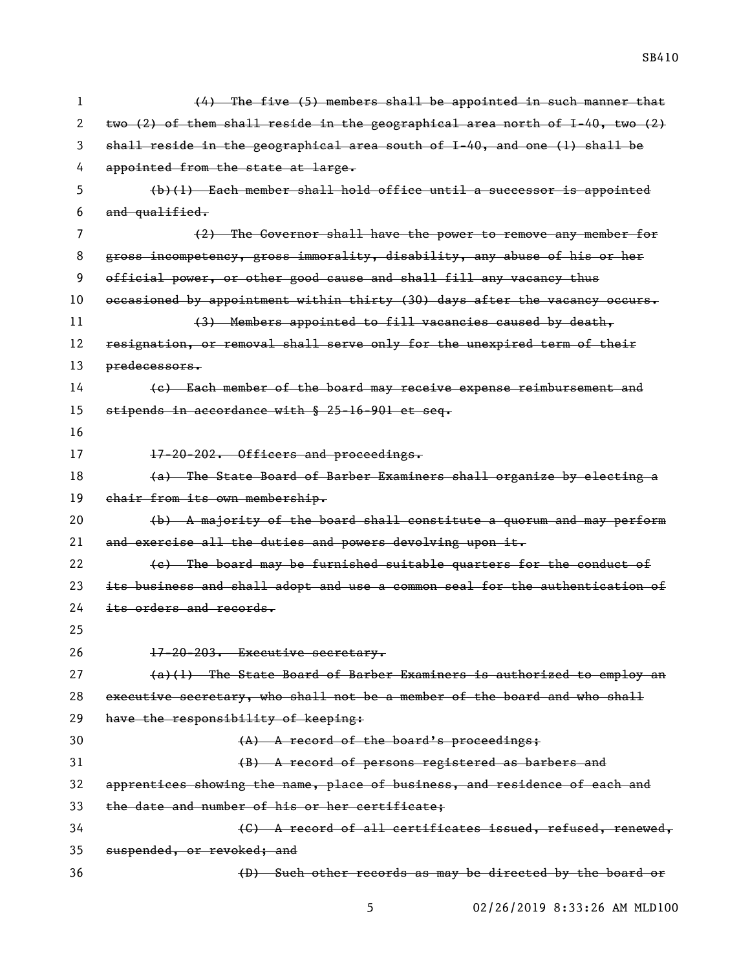| 1  | (4) The five (5) members shall be appointed in such manner that                  |
|----|----------------------------------------------------------------------------------|
| 2  | two $(2)$ of them shall reside in the geographical area north of I-40, two $(2)$ |
| 3  | shall reside in the geographical area south of I-40, and one (1) shall be        |
| 4  | appointed from the state at large.                                               |
| 5  | $(b)(1)$ Each member shall hold office until a successor is appointed            |
| 6  | and qualified.                                                                   |
| 7  | (2) The Governor shall have the power to remove any member for                   |
| 8  | gross incompetency, gross immorality, disability, any abuse of his or her        |
| 9  | official power, or other good cause and shall fill any vacancy thus              |
| 10 | occasioned by appointment within thirty (30) days after the vacancy occurs.      |
| 11 | (3) Members appointed to fill vacancies caused by death,                         |
| 12 | resignation, or removal shall serve only for the unexpired term of their         |
| 13 | predecessors.                                                                    |
| 14 | (e) Each member of the board may receive expense reimbursement and               |
| 15 | stipends in accordance with § 25-16-901 et seq.                                  |
| 16 |                                                                                  |
| 17 | 17-20-202. Officers and proceedings.                                             |
| 18 | (a) The State Board of Barber Examiners shall organize by electing a             |
|    |                                                                                  |
| 19 | chair from its own membership.                                                   |
| 20 | (b) A majority of the board shall constitute a quorum and may perform            |
| 21 | and exercise all the duties and powers devolving upon it.                        |
| 22 | (e) The board may be furnished suitable quarters for the conduct of              |
| 23 | its business and shall adopt and use a common seal for the authentication of     |
| 24 | its orders and records.                                                          |
| 25 |                                                                                  |
| 26 | 17-20-203. Executive secretary.                                                  |
| 27 | (a)(1) The State Board of Barber Examiners is authorized to employ an            |
| 28 | executive secretary, who shall not be a member of the board and who shall        |
| 29 | have the responsibility of keeping:                                              |
| 30 | $(A)$ A record of the board's proceedings;                                       |
| 31 | (B) A record of persons registered as barbers and                                |
| 32 | apprentices showing the name, place of business, and residence of each and       |
| 33 | the date and number of his or her certificate:                                   |
| 34 | (C) A record of all certificates issued, refused, renewed,                       |
| 35 | suspended, or revoked; and                                                       |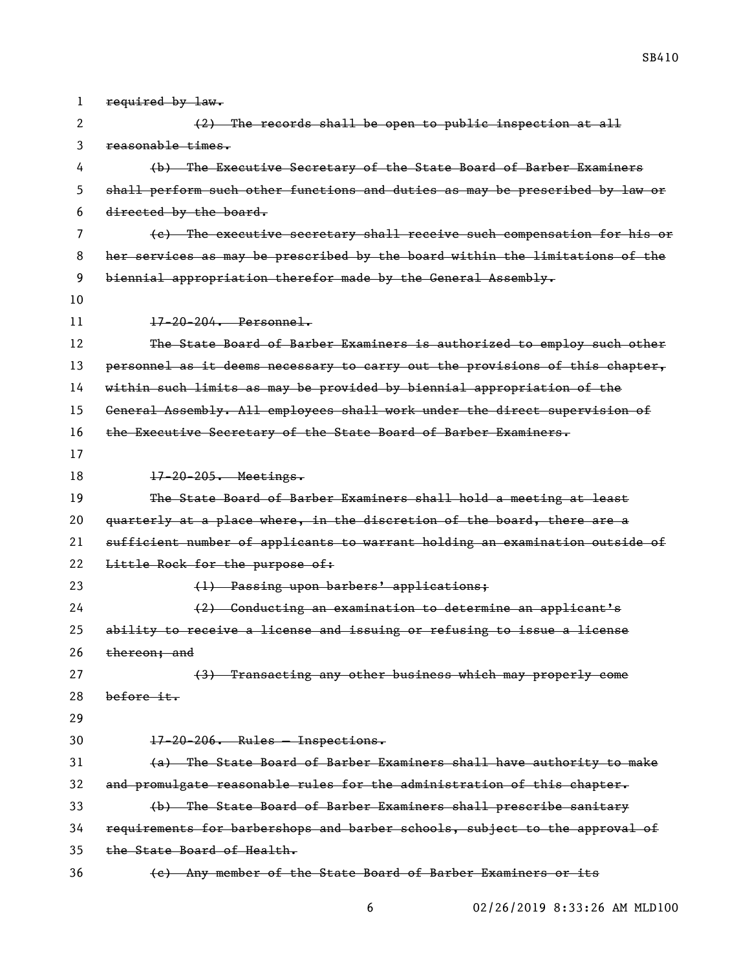1 required by law. (2) The records shall be open to public inspection at all reasonable times. (b) The Executive Secretary of the State Board of Barber Examiners shall perform such other functions and duties as may be prescribed by law or directed by the board. (c) The executive secretary shall receive such compensation for his or her services as may be prescribed by the board within the limitations of the 9 biennial appropriation therefor made by the General Assembly. 17-20-204. Personnel. The State Board of Barber Examiners is authorized to employ such other 13 personnel as it deems necessary to carry out the provisions of this chapter, within such limits as may be provided by biennial appropriation of the General Assembly. All employees shall work under the direct supervision of the Executive Secretary of the State Board of Barber Examiners. 17-20-205. Meetings. The State Board of Barber Examiners shall hold a meeting at least 20 quarterly at a place where, in the discretion of the board, there are a sufficient number of applicants to warrant holding an examination outside of 22 Little Rock for the purpose of: 23 (1) Passing upon barbers' applications; (2) Conducting an examination to determine an applicant's ability to receive a license and issuing or refusing to issue a license 26 thereon; and (3) Transacting any other business which may properly come before it. 17-20-206. Rules — Inspections. (a) The State Board of Barber Examiners shall have authority to make and promulgate reasonable rules for the administration of this chapter. (b) The State Board of Barber Examiners shall prescribe sanitary requirements for barbershops and barber schools, subject to the approval of the State Board of Health. (c) Any member of the State Board of Barber Examiners or its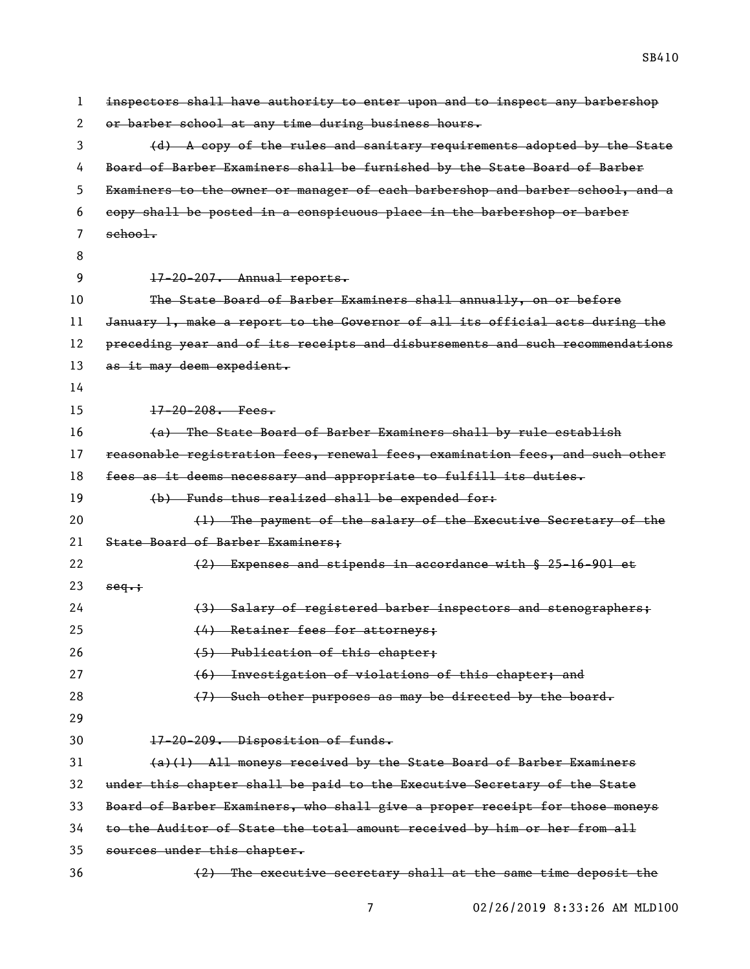| 1  | inspectors shall have authority to enter upon and to inspect any barbershop   |
|----|-------------------------------------------------------------------------------|
| 2  | or barber school at any time during business hours.                           |
| 3  | (d) A copy of the rules and sanitary requirements adopted by the State        |
| 4  | Board of Barber Examiners shall be furnished by the State Board of Barber     |
| 5  | Examiners to the owner or manager of each barbershop and barber school, and a |
| 6  | copy shall be posted in a conspicuous place in the barbershop or barber       |
| 7  | $\text{sehool.}$                                                              |
| 8  |                                                                               |
| 9  | $17-20-207$ . Annual reports.                                                 |
| 10 | The State Board of Barber Examiners shall annually, on or before              |
| 11 | January 1, make a report to the Governor of all its official acts during the  |
| 12 | preceding year and of its receipts and disbursements and such recommendations |
| 13 | as it may deem expedient.                                                     |
| 14 |                                                                               |
| 15 | $17 - 20 - 208$ . Fees.                                                       |
| 16 | (a) The State Board of Barber Examiners shall by rule establish               |
| 17 | reasonable registration fees, renewal fees, examination fees, and such other  |
| 18 | fees as it deems necessary and appropriate to fulfill its duties.             |
| 19 | (b) Funds thus realized shall be expended for:                                |
| 20 | (1) The payment of the salary of the Executive Secretary of the               |
| 21 | State Board of Barber Examiners;                                              |
| 22 | (2) Expenses and stipends in accordance with § 25-16-901 et                   |
| 23 | seq.                                                                          |
| 24 | (3) Salary of registered barber inspectors and stenographers;                 |
| 25 | (4) Retainer fees for attorneys;                                              |
| 26 | (5) Publication of this chapter;                                              |
| 27 | (6) Investigation of violations of this chapter; and                          |
| 28 | (7) Such other purposes as may be directed by the board.                      |
| 29 |                                                                               |
| 30 | 17-20-209. Disposition of funds.                                              |
| 31 | (a)(1) All moneys received by the State Board of Barber Examiners             |
| 32 | under this chapter shall be paid to the Executive Secretary of the State      |
| 33 | Board of Barber Examiners, who shall give a proper receipt for those moneys   |
| 34 | to the Auditor of State the total amount received by him or her from all      |
| 35 | sources under this chapter.                                                   |
| 36 | (2) The executive secretary shall at the same time deposit the                |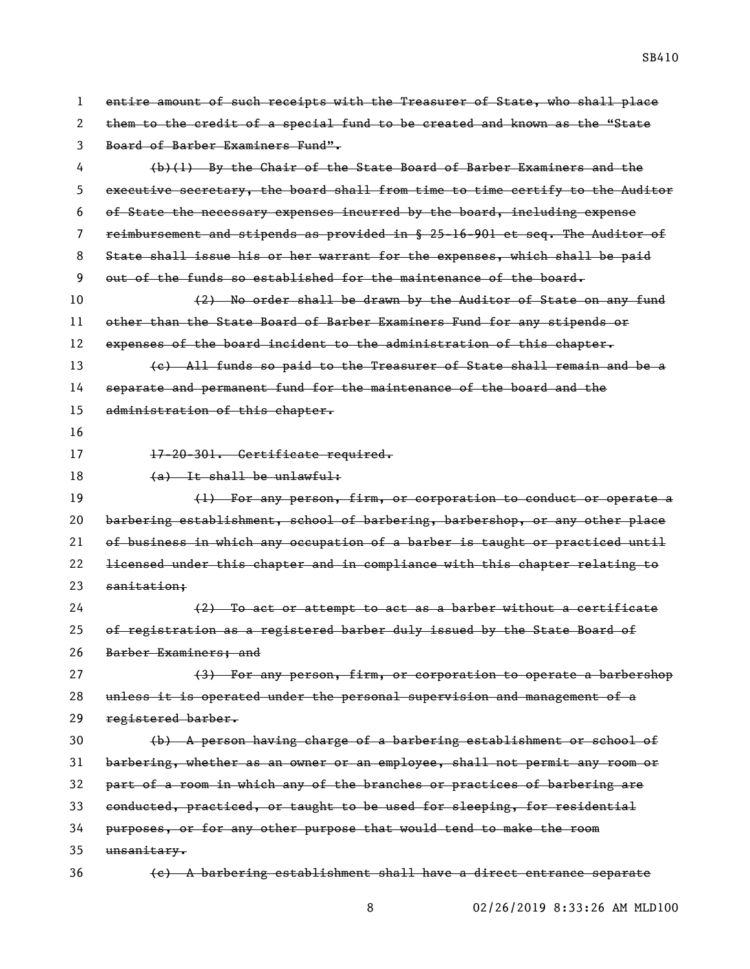| 1  | entire amount of such receipts with the Treasurer of State, who shall place   |
|----|-------------------------------------------------------------------------------|
| 2  | them to the credit of a special fund to be created and known as the "State    |
| 3  | Board of Barber Examiners Fund".                                              |
| 4  | $(b)(1)$ By the Chair of the State Board of Barber Examiners and the          |
| 5  | executive secretary, the board shall from time to time certify to the Auditor |
| 6  | of State the necessary expenses incurred by the board, including expense      |
| 7  | reimbursement and stipends as provided in § 25-16-901 et seq. The Auditor of  |
| 8  | State shall issue his or her warrant for the expenses, which shall be paid    |
| 9  | out of the funds so established for the maintenance of the board.             |
| 10 | (2) No order shall be drawn by the Auditor of State on any fund               |
| 11 | other than the State Board of Barber Examiners Fund for any stipends or       |
| 12 | expenses of the board incident to the administration of this chapter.         |
| 13 | (e) All funds so paid to the Treasurer of State shall remain and be a         |
| 14 | separate and permanent fund for the maintenance of the board and the          |
| 15 | administration of this chapter.                                               |
| 16 |                                                                               |
| 17 | 17-20-301. Certificate required.                                              |
| 18 | $(a)$ It shall be unlawful:                                                   |
| 19 | (1) For any person, firm, or corporation to conduct or operate a              |
| 20 | barbering establishment, school of barbering, barbershop, or any other place  |
| 21 | of business in which any occupation of a barber is taught or practiced until  |
| 22 | licensed under this chapter and in compliance with this chapter relating to   |
| 23 | sanitation;                                                                   |
| 24 | (2) To act or attempt to act as a barber without a certificate                |
| 25 | of registration as a registered barber duly issued by the State Board of      |
| 26 | Barber Examiners; and                                                         |
| 27 | (3) For any person, firm, or corporation to operate a barbershop              |
| 28 | unless it is operated under the personal supervision and management of a      |
| 29 | registered barber.                                                            |
| 30 | (b) A person having charge of a barbering establishment or school of          |
| 31 | barbering, whether as an owner or an employee, shall not permit any room or   |
| 32 | part of a room in which any of the branches or practices of barbering are     |
| 33 | conducted, practiced, or taught to be used for sleeping, for residential      |
| 34 | purposes, or for any other purpose that would tend to make the room           |
| 35 | unsanitary.                                                                   |
| 36 | (e) A barbering establishment shall have a direct entrance separate           |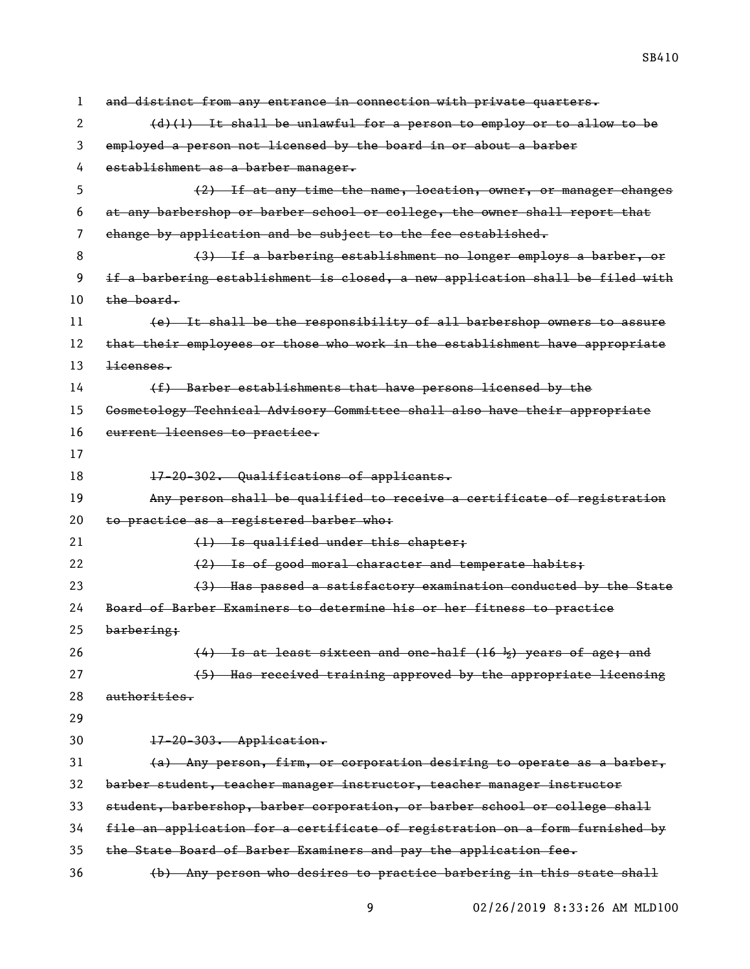| 1  | and distinct from any entrance in connection with private quarters.           |
|----|-------------------------------------------------------------------------------|
| 2  | $(d)(1)$ It shall be unlawful for a person to employ or to allow to be        |
| 3  | employed a person not licensed by the board in or about a barber              |
| 4  | establishment as a barber manager.                                            |
| 5  | (2) If at any time the name, location, owner, or manager changes              |
| 6  | at any barbershop or barber school or college, the owner shall report that    |
| 7  | change by application and be subject to the fee established.                  |
| 8  | (3) If a barbering establishment no longer employs a barber, or               |
| 9  | if a barbering establishment is closed, a new application shall be filed with |
| 10 | the board.                                                                    |
| 11 | (e) It shall be the responsibility of all barbershop owners to assure         |
| 12 | that their employees or those who work in the establishment have appropriate  |
| 13 | <del>licenses.</del>                                                          |
| 14 | (f) Barber establishments that have persons licensed by the                   |
| 15 | Gosmetology Technical Advisory Committee shall also have their appropriate    |
| 16 | eurrent licenses to practice.                                                 |
| 17 |                                                                               |
| 18 | 17-20-302. Qualifications of applicants.                                      |
| 19 | Any person shall be qualified to receive a certificate of registration        |
| 20 | to practice as a registered barber who:                                       |
| 21 | (1) Is qualified under this chapter;                                          |
| 22 | (2) Is of good moral character and temperate habits;                          |
| 23 | (3) Has passed a satisfactory examination conducted by the State              |
| 24 | Board of Barber Examiners to determine his or her fitness to practice         |
| 25 | barbering;                                                                    |
| 26 | $(4)$ Is at least sixteen and one-half $(16 \frac{1}{2})$ years of age; and   |
| 27 | (5) Has received training approved by the appropriate licensing               |
| 28 | authorities.                                                                  |
| 29 |                                                                               |
| 30 | 17-20-303. Application.                                                       |
| 31 | (a) Any person, firm, or corporation desiring to operate as a barber,         |
| 32 | barber student, teacher manager instructor, teacher manager instructor        |
| 33 | student, barbershop, barber corporation, or barber school or college shall    |
| 34 | file an application for a certificate of registration on a form furnished by  |
| 35 | the State Board of Barber Examiners and pay the application fee.              |
| 36 | (b) Any person who desires to practice barbering in this state shall          |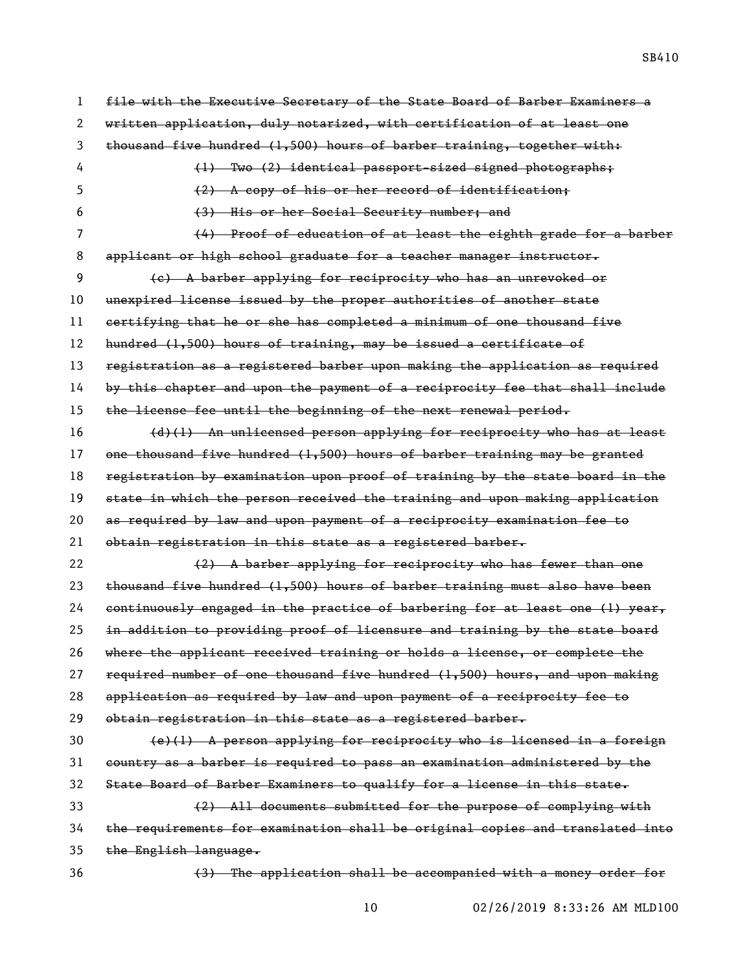SB410

 file with the Executive Secretary of the State Board of Barber Examiners a written application, duly notarized, with certification of at least one thousand five hundred (1,500) hours of barber training, together with: 4 (1) Two (2) identical passport-sized signed photographs; (2) A copy of his or her record of identification; (3) His or her Social Security number; and (4) Proof of education of at least the eighth grade for a barber applicant or high school graduate for a teacher manager instructor. (c) A barber applying for reciprocity who has an unrevoked or unexpired license issued by the proper authorities of another state certifying that he or she has completed a minimum of one thousand five hundred (1,500) hours of training, may be issued a certificate of registration as a registered barber upon making the application as required by this chapter and upon the payment of a reciprocity fee that shall include 15 the license fee until the beginning of the next renewal period. (d)(1) An unlicensed person applying for reciprocity who has at least one thousand five hundred (1,500) hours of barber training may be granted 18 registration by examination upon proof of training by the state board in the state in which the person received the training and upon making application as required by law and upon payment of a reciprocity examination fee to obtain registration in this state as a registered barber. 22 (2) A barber applying for reciprocity who has fewer than one thousand five hundred (1,500) hours of barber training must also have been continuously engaged in the practice of barbering for at least one (1) year, 25 in addition to providing proof of licensure and training by the state board where the applicant received training or holds a license, or complete the 27 required number of one thousand five hundred (1,500) hours, and upon making application as required by law and upon payment of a reciprocity fee to obtain registration in this state as a registered barber. (e)(1) A person applying for reciprocity who is licensed in a foreign country as a barber is required to pass an examination administered by the State Board of Barber Examiners to qualify for a license in this state. (2) All documents submitted for the purpose of complying with the requirements for examination shall be original copies and translated into 35 the English language. (3) The application shall be accompanied with a money order for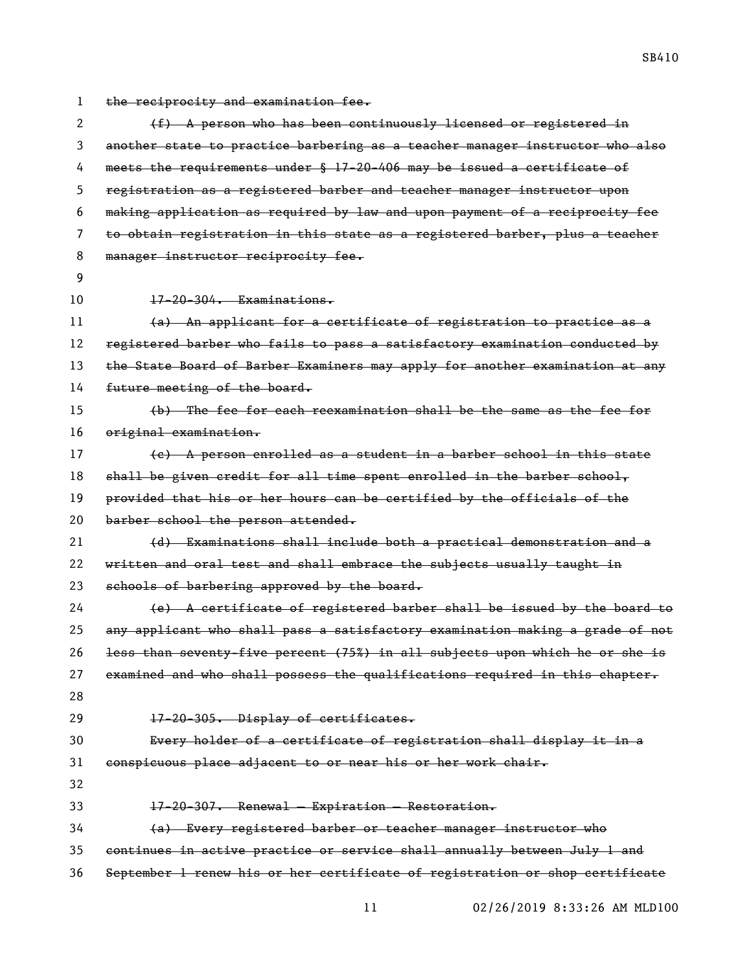the reciprocity and examination fee.

2 (f) A person who has been continuously licensed or registered in another state to practice barbering as a teacher manager instructor who also meets the requirements under § 17-20-406 may be issued a certificate of registration as a registered barber and teacher manager instructor upon making application as required by law and upon payment of a reciprocity fee to obtain registration in this state as a registered barber, plus a teacher 8 manager instructor reciprocity fee. 17-20-304. Examinations. (a) An applicant for a certificate of registration to practice as a 12 registered barber who fails to pass a satisfactory examination conducted by 13 the State Board of Barber Examiners may apply for another examination at any 14 future meeting of the board. (b) The fee for each reexamination shall be the same as the fee for original examination. (c) A person enrolled as a student in a barber school in this state 18 shall be given credit for all time spent enrolled in the barber school, provided that his or her hours can be certified by the officials of the 20 barber school the person attended. (d) Examinations shall include both a practical demonstration and a 22 written and oral test and shall embrace the subjects usually taught in 23 schools of barbering approved by the board. (e) A certificate of registered barber shall be issued by the board to any applicant who shall pass a satisfactory examination making a grade of not less than seventy-five percent (75%) in all subjects upon which he or she is examined and who shall possess the qualifications required in this chapter. 17-20-305. Display of certificates. Every holder of a certificate of registration shall display it in a conspicuous place adjacent to or near his or her work chair. 17-20-307. Renewal — Expiration — Restoration. (a) Every registered barber or teacher manager instructor who continues in active practice or service shall annually between July 1 and September 1 renew his or her certificate of registration or shop certificate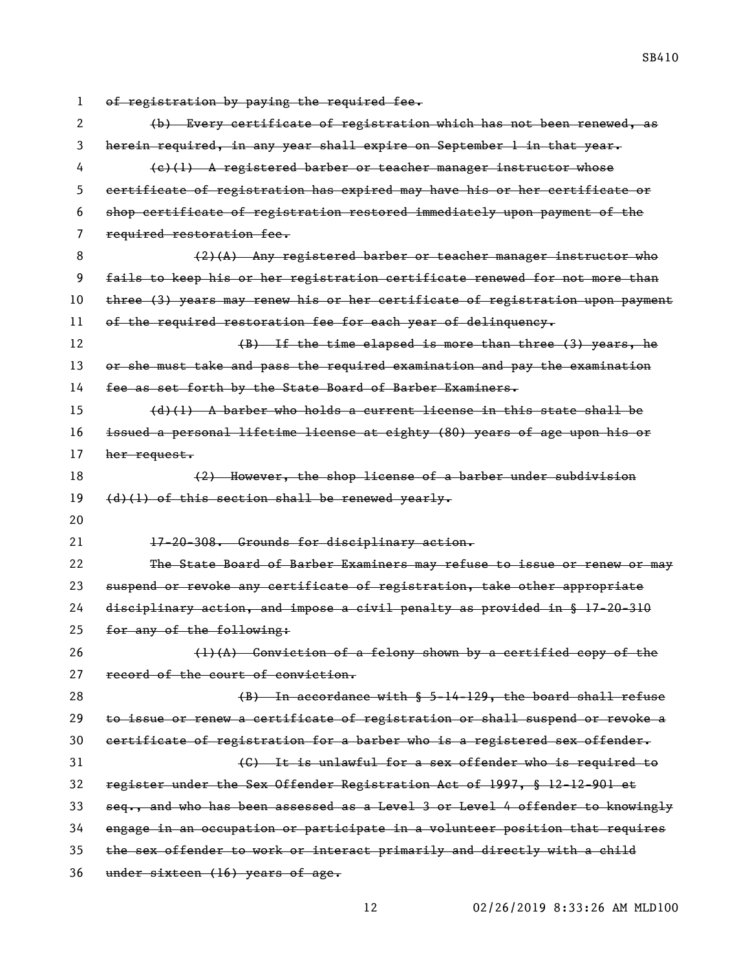| 1  | of registration by paying the required fee.                                   |
|----|-------------------------------------------------------------------------------|
| 2  | (b) Every certificate of registration which has not been renewed, as          |
| 3  | herein required, in any year shall expire on September 1 in that year.        |
| 4  | (e)(1) A registered barber or teacher manager instructor whose                |
| 5  | certificate of registration has expired may have his or her certificate or    |
| 6  | shop certificate of registration restored immediately upon payment of the     |
| 7  | required restoration fee.                                                     |
| 8  | $(2)$ (A) Any registered barber or teacher manager instructor who             |
| 9  | fails to keep his or her registration certificate renewed for not more than   |
| 10 | three (3) years may renew his or her certificate of registration upon payment |
| 11 | of the required restoration fee for each year of delinquency.                 |
| 12 | (B) If the time elapsed is more than three (3) years, he                      |
| 13 | or she must take and pass the required examination and pay the examination    |
| 14 | fee as set forth by the State Board of Barber Examiners.                      |
| 15 | $(d)$ (1) A barber who holds a current license in this state shall be         |
| 16 | issued a personal lifetime license at eighty (80) years of age upon his or    |
| 17 | her request.                                                                  |
| 18 | (2) However, the shop license of a barber under subdivision                   |
|    |                                                                               |
| 19 | $(d)$ (1) of this section shall be renewed yearly.                            |
| 20 |                                                                               |
| 21 | 17-20-308. Grounds for disciplinary action.                                   |
| 22 | The State Board of Barber Examiners may refuse to issue or renew or may       |
| 23 | suspend or revoke any certificate of registration, take other appropriate     |
| 24 | $disciplinary action, and impose a civil penalty as provided in § 17-20-310$  |
| 25 | for any of the following:                                                     |
| 26 | $(1)$ (A) Conviction of a felony shown by a certified copy of the             |
| 27 | record of the court of conviction.                                            |
| 28 | $(B)$ In accordance with $\S$ 5-14-129, the board shall refuse                |
| 29 | to issue or renew a certificate of registration or shall suspend or revoke a  |
| 30 | eertificate of registration for a barber who is a registered sex offender.    |
| 31 | (C) It is unlawful for a sex offender who is required to                      |
| 32 | register under the Sex Offender Registration Act of 1997, § 12-12-901 et      |
| 33 | seq., and who has been assessed as a Level 3 or Level 4 offender to knowingly |
| 34 | engage in an occupation or participate in a volunteer position that requires  |
| 35 | the sex offender to work or interact primarily and directly with a child      |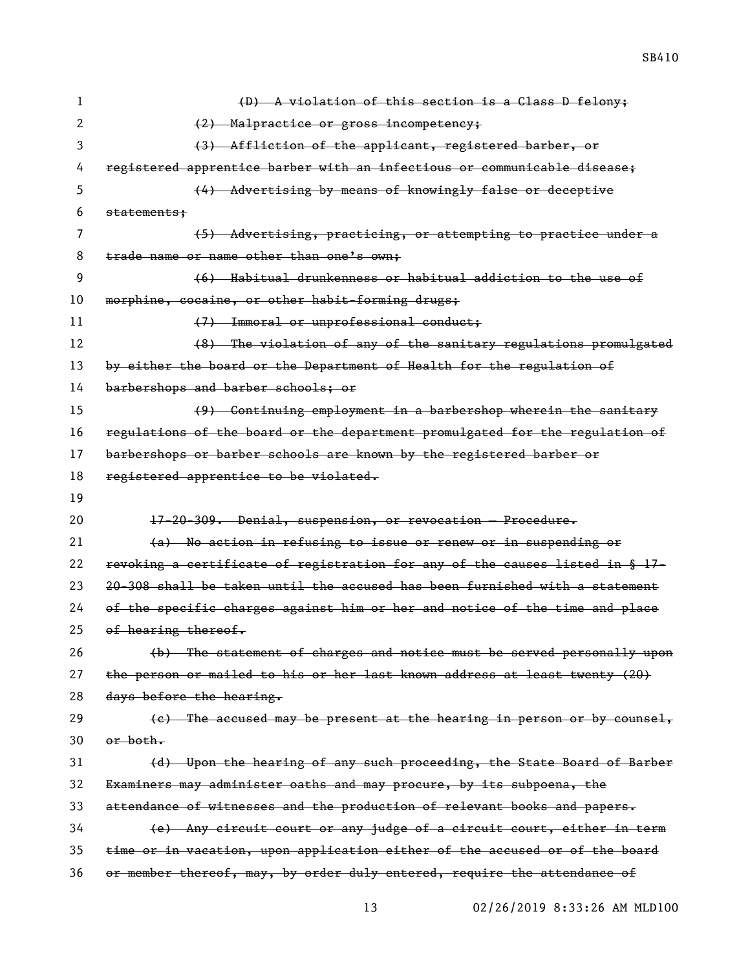| 1  | (D) A violation of this section is a Class D felony;                         |
|----|------------------------------------------------------------------------------|
| 2  | (2) Malpractice or gross incompetency;                                       |
| 3  | (3) Affliction of the applicant, registered barber, or                       |
| 4  | registered apprentice barber with an infectious or communicable disease;     |
| 5  | (4) Advertising by means of knowingly false or deceptive                     |
| 6  | statements:                                                                  |
| 7  | (5) Advertising, practicing, or attempting to practice under a               |
| 8  | trade name or name other than one's own;                                     |
| 9  | (6) Habitual drunkenness or habitual addiction to the use of                 |
| 10 | morphine, cocaine, or other habit-forming drugs;                             |
| 11 | (7) Immoral or unprofessional conduct;                                       |
| 12 | (8) The violation of any of the sanitary regulations promulgated             |
| 13 | by either the board or the Department of Health for the regulation of        |
| 14 | barbershops and barber schools; or                                           |
| 15 | (9) Continuing employment in a barbershop wherein the sanitary               |
| 16 | regulations of the board or the department promulgated for the regulation of |
| 17 | barbershops or barber schools are known by the registered barber or          |
| 18 | registered apprentice to be violated.                                        |
|    |                                                                              |
| 19 |                                                                              |
| 20 | 17-20-309. Denial, suspension, or revocation - Procedure.                    |
| 21 | (a) No action in refusing to issue or renew or in suspending or              |
| 22 | revoking a certificate of registration for any of the causes listed in § 17- |
| 23 | 20-308 shall be taken until the accused has been furnished with a statement  |
| 24 | of the specific charges against him or her and notice of the time and place  |
| 25 | of hearing thereof.                                                          |
| 26 | (b) The statement of charges and notice must be served personally upon       |
| 27 | the person or mailed to his or her last known address at least twenty (20)   |
| 28 | days before the hearing.                                                     |
| 29 | (e) The accused may be present at the hearing in person or by counsel,       |
| 30 | $or$ both.                                                                   |
| 31 | (d) Upon the hearing of any such proceeding, the State Board of Barber       |
| 32 | Examiners may administer oaths and may procure, by its subpoena, the         |
| 33 | attendance of witnesses and the production of relevant books and papers.     |
| 34 | (e) Any circuit court or any judge of a circuit court, either in term        |
| 35 | time or in vacation, upon application either of the accused or of the board  |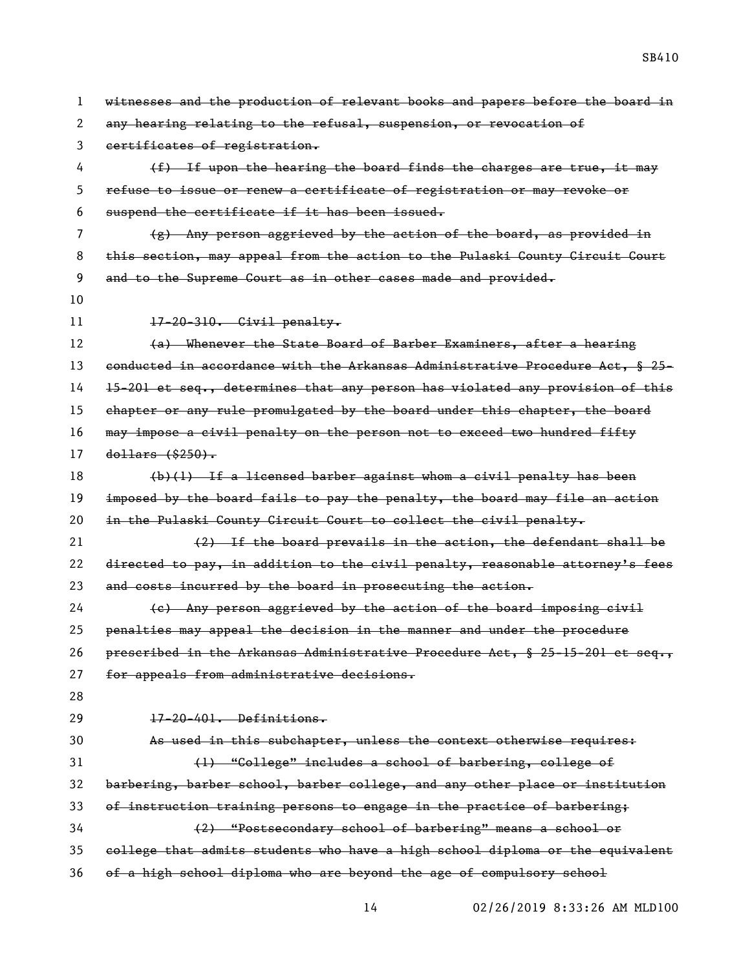| 1  | witnesses and the production of relevant books and papers before the board in |
|----|-------------------------------------------------------------------------------|
| 2  | any hearing relating to the refusal, suspension, or revocation of             |
| 3  | certificates of registration.                                                 |
| 4  | (f) If upon the hearing the board finds the charges are true, it may          |
| 5  | refuse to issue or renew a certificate of registration or may revoke or       |
| 6  | suspend the certificate if it has been issued.                                |
| 7  | $(g)$ Any person aggrieved by the action of the board, as provided in         |
| 8  | this section, may appeal from the action to the Pulaski County Circuit Court  |
| 9  | and to the Supreme Court as in other cases made and provided.                 |
| 10 |                                                                               |
| 11 | $17-20-310$ . Civil penalty.                                                  |
| 12 | (a) Whenever the State Board of Barber Examiners, after a hearing             |
| 13 | eonducted in accordance with the Arkansas Administrative Procedure Act, § 25- |
| 14 | 15-201 et seq., determines that any person has violated any provision of this |
| 15 | chapter or any rule promulgated by the board under this chapter, the board    |
| 16 | may impose a civil penalty on the person not to exceed two hundred fifty      |
| 17 | $d$ ollars $($ \$250 $)$ .                                                    |
| 18 | $(b)(1)$ If a licensed barber against whom a civil penalty has been           |
| 19 | imposed by the board fails to pay the penalty, the board may file an action   |
| 20 | in the Pulaski County Circuit Court to collect the civil penalty.             |
| 21 | $(2)$ If the board prevails in the action, the defendant shall be             |
| 22 | directed to pay, in addition to the civil penalty, reasonable attorney's fees |
| 23 | and costs incurred by the board in prosecuting the action.                    |
| 24 | (e) Any person aggrieved by the action of the board imposing civil            |
| 25 | penalties may appeal the decision in the manner and under the procedure       |
| 26 | prescribed in the Arkansas Administrative Procedure Act, § 25-15-201 et seq., |
| 27 | for appeals from administrative decisions.                                    |
| 28 |                                                                               |
| 29 | 17-20-401. Definitions.                                                       |
| 30 | As used in this subchapter, unless the context otherwise requires:            |
| 31 | (1) "College" includes a school of barbering, college of                      |
| 32 | barbering, barber school, barber college, and any other place or institution  |
| 33 | of instruction training persons to engage in the practice of barbering;       |
| 34 | (2) "Postsecondary school of barbering" means a school or                     |
| 35 | college that admits students who have a high school diploma or the equivalent |
| 36 | of a high school diploma who are beyond the age of compulsory school          |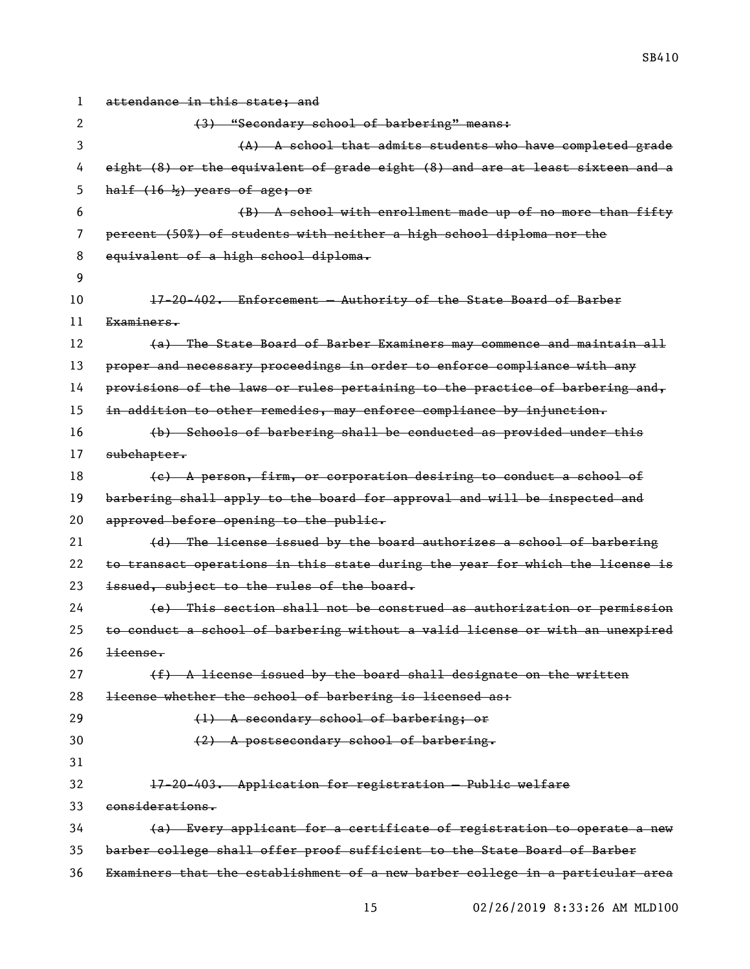| 1  | attendance in this state; and                                                 |
|----|-------------------------------------------------------------------------------|
| 2  | (3) "Secondary school of barbering" means:                                    |
| 3  | (A) A school that admits students who have completed grade                    |
| 4  | eight (8) or the equivalent of grade eight (8) and are at least sixteen and a |
| 5  | half $(16 \frac{1}{2})$ years of age; or                                      |
| 6  | (B) A school with enrollment made up of no more than fifty                    |
| 7  | percent (50%) of students with neither a high school diploma nor the          |
| 8  | equivalent of a high school diploma.                                          |
| 9  |                                                                               |
| 10 | 17-20-402. Enforcement - Authority of the State Board of Barber               |
| 11 | Examiners.                                                                    |
| 12 | (a) The State Board of Barber Examiners may commence and maintain all         |
| 13 | proper and necessary proceedings in order to enforce compliance with any      |
| 14 | provisions of the laws or rules pertaining to the practice of barbering and,  |
| 15 | in addition to other remedies, may enforce compliance by injunction.          |
| 16 | (b) Schools of barbering shall be conducted as provided under this            |
| 17 | subchapter.                                                                   |
| 18 | (e) A person, firm, or corporation desiring to conduct a school of            |
| 19 | barbering shall apply to the board for approval and will be inspected and     |
| 20 | approved before opening to the public.                                        |
| 21 | (d) The license issued by the board authorizes a school of barbering          |
| 22 | to transact operations in this state during the year for which the license is |
| 23 | issued, subject to the rules of the board.                                    |
| 24 | (e) This section shall not be construed as authorization or permission        |
| 25 | to conduct a school of barbering without a valid license or with an unexpired |
| 26 | <del>license.</del>                                                           |
| 27 | $(f)$ A license issued by the board shall designate on the written            |
| 28 | license whether the school of barbering is licensed as:                       |
| 29 | (1) A secondary school of barbering; or                                       |
| 30 | (2) A postsecondary school of barbering.                                      |
| 31 |                                                                               |
| 32 | 17-20-403. Application for registration - Public welfare                      |
| 33 | considerations.                                                               |
| 34 | (a) Every applicant for a certificate of registration to operate a new        |
| 35 | barber college shall offer proof sufficient to the State Board of Barber      |
| 36 | Examiners that the establishment of a new barber college in a particular area |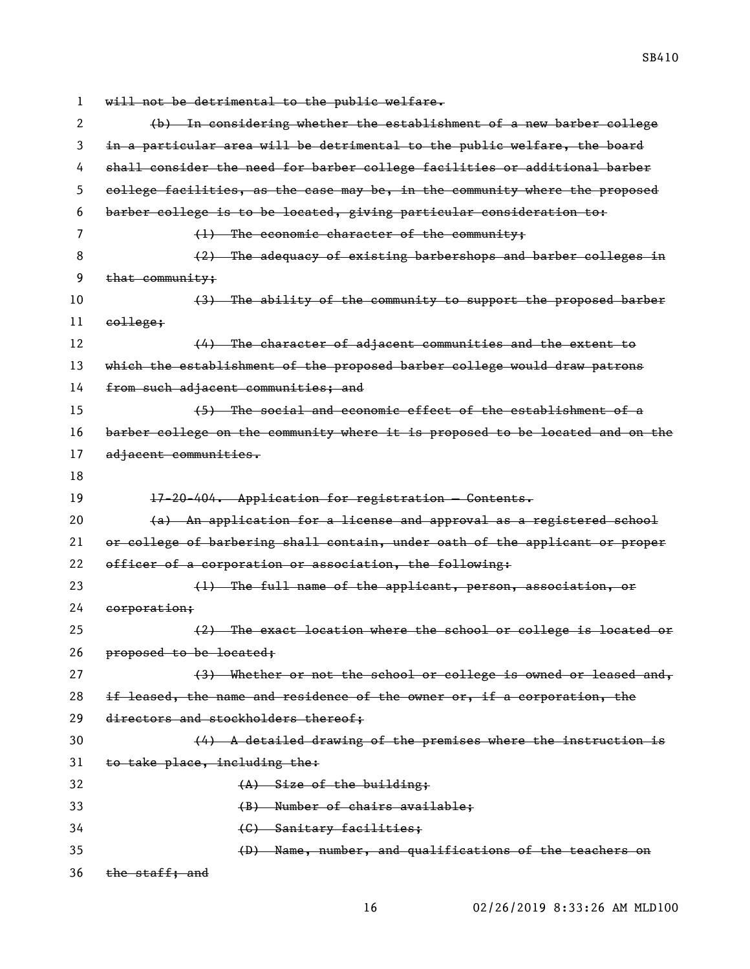will not be detrimental to the public welfare. (b) In considering whether the establishment of a new barber college in a particular area will be detrimental to the public welfare, the board shall consider the need for barber college facilities or additional barber college facilities, as the case may be, in the community where the proposed barber college is to be located, giving particular consideration to: (1) The economic character of the community; 8 (2) The adequacy of existing barbershops and barber colleges in that community; (3) The ability of the community to support the proposed barber college; 12 (4) The character of adjacent communities and the extent to which the establishment of the proposed barber college would draw patrons 14 from such adjacent communities; and (5) The social and economic effect of the establishment of a barber college on the community where it is proposed to be located and on the 17 adjacent communities. 19 17-20-404. Application for registration – Contents.  $(a)$  An application for a license and approval as a registered school or college of barbering shall contain, under oath of the applicant or proper 22 officer of a corporation or association, the following: (1) The full name of the applicant, person, association, or corporation; (2) The exact location where the school or college is located or 26 proposed to be located: 27 (3) Whether or not the school or college is owned or leased and, 28 if leased, the name and residence of the owner  $or$ , if a corporation, the directors and stockholders thereof; (4) A detailed drawing of the premises where the instruction is 31 to take place, including the: 32 (A) Size of the building; (B) Number of chairs available; (C) Sanitary facilities; (D) Name, number, and qualifications of the teachers on the staff; and

02/26/2019 8:33:26 AM MLD100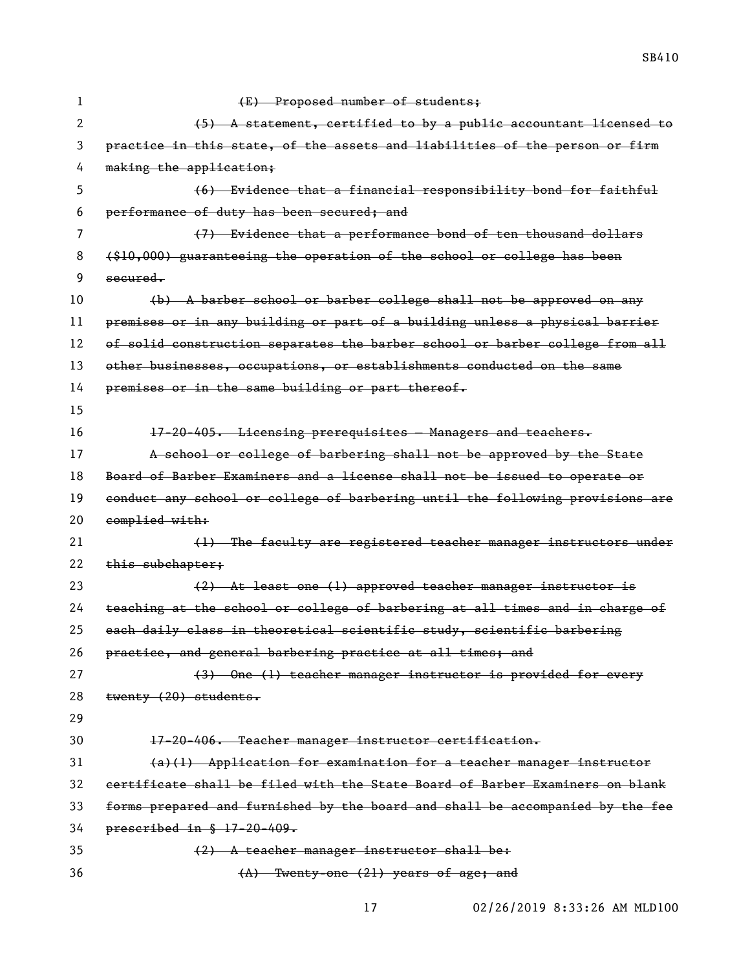(E) Proposed number of students; 2 (5) A statement, certified to by a public accountant licensed to practice in this state, of the assets and liabilities of the person or firm 4 making the application; (6) Evidence that a financial responsibility bond for faithful performance of duty has been secured; and (7) Evidence that a performance bond of ten thousand dollars (\$10,000) guaranteeing the operation of the school or college has been secured. (b) A barber school or barber college shall not be approved on any premises or in any building or part of a building unless a physical barrier of solid construction separates the barber school or barber college from all 13 other businesses, occupations, or establishments conducted on the same premises or in the same building or part thereof. 17-20-405. Licensing prerequisites — Managers and teachers. A school or college of barbering shall not be approved by the State Board of Barber Examiners and a license shall not be issued to operate or conduct any school or college of barbering until the following provisions are 20 complied with: 21 (1) The faculty are registered teacher manager instructors under 22 this subchapter: (2) At least one (1) approved teacher manager instructor is teaching at the school or college of barbering at all times and in charge of each daily class in theoretical scientific study, scientific barbering 26 practice, and general barbering practice at all times; and 27 (3) One (1) teacher manager instructor is provided for every twenty (20) students. 17-20-406. Teacher manager instructor certification. (a)(1) Application for examination for a teacher manager instructor certificate shall be filed with the State Board of Barber Examiners on blank forms prepared and furnished by the board and shall be accompanied by the fee prescribed in § 17-20-409.  $(2)$  A teacher manager instructor shall be:

```
\left(\text{A}\right) Twenty-one (21) years of age; and
```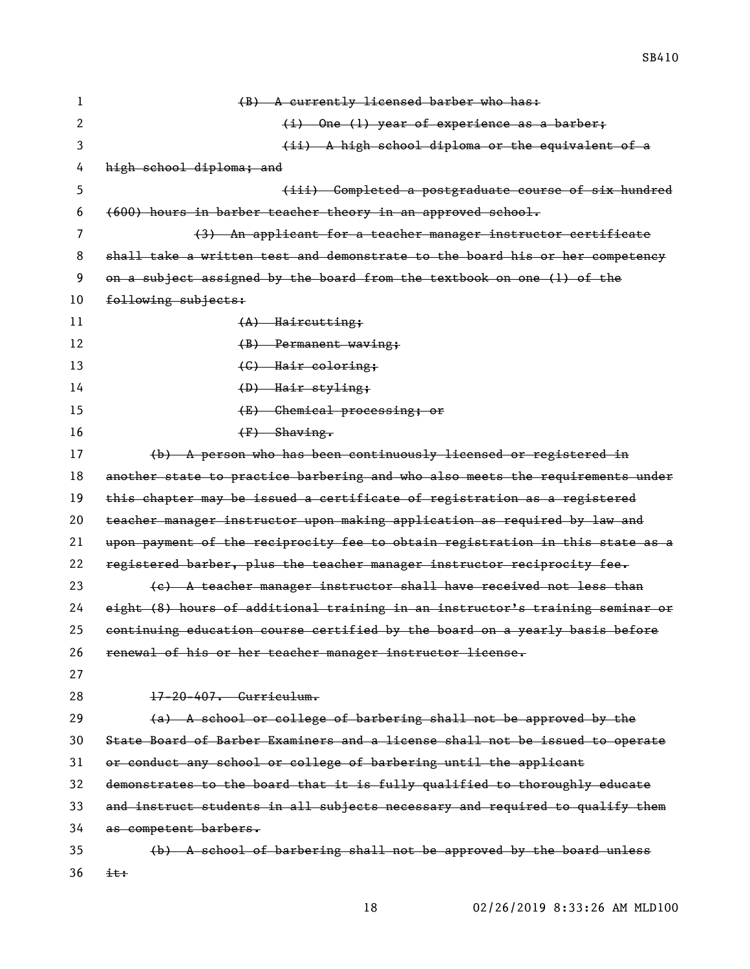(B) A currently licensed barber who has: 2 (i) One (1) year of experience as a barber; 3 (ii) A high school diploma or the equivalent of a 4 high school diploma; and (iii) Completed a postgraduate course of six hundred (600) hours in barber teacher theory in an approved school. (3) An applicant for a teacher manager instructor certificate shall take a written test and demonstrate to the board his or her competency on a subject assigned by the board from the textbook on one (1) of the following subjects: 11 (A) Haircutting; (B) Permanent waving; 13 (G) Hair coloring; 14 (D) Hair styling; (E) Chemical processing; or 16 (F) Shaving. (b) A person who has been continuously licensed or registered in 18 another state to practice barbering and who also meets the requirements under this chapter may be issued a certificate of registration as a registered teacher manager instructor upon making application as required by law and upon payment of the reciprocity fee to obtain registration in this state as a 22 registered barber, plus the teacher manager instructor reciprocity fee. 23 (e) A teacher manager instructor shall have received not less than eight (8) hours of additional training in an instructor's training seminar or continuing education course certified by the board on a yearly basis before renewal of his or her teacher manager instructor license. 17-20-407. Curriculum.  $(A)$  A school or college of barbering shall not be approved by the State Board of Barber Examiners and a license shall not be issued to operate or conduct any school or college of barbering until the applicant demonstrates to the board that it is fully qualified to thoroughly educate 33 and instruct students in all subjects necessary and required to qualify them as competent barbers. (b) A school of barbering shall not be approved by the board unless

 $36 \frac{\text{it}}{\text{it}}$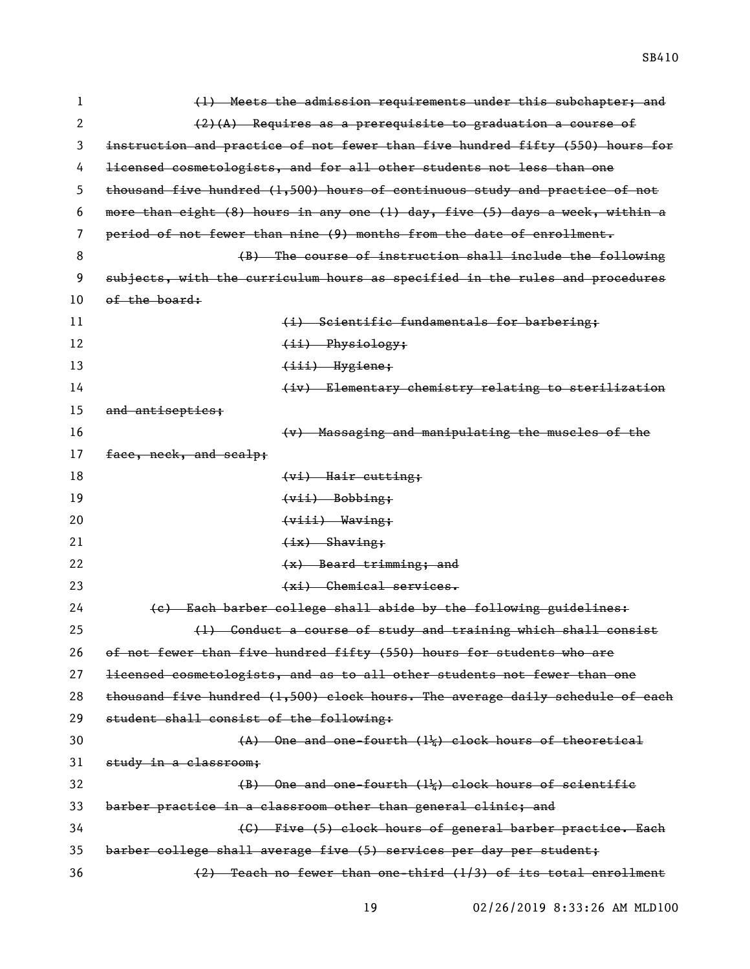1 (1) Meets the admission requirements under this subchapter; and 2  $(2)(A)$  Requires as a prerequisite to graduation a course of 3 instruction and practice of not fewer than five hundred fifty (550) hours for 4 licensed cosmetologists, and for all other students not less than one 5 thousand five hundred (1,500) hours of continuous study and practice of not 6 more than eight (8) hours in any one (1) day, five (5) days a week, within a 7 period of not fewer than nine (9) months from the date of enrollment. 8 (B) The course of instruction shall include the following 9 subjects, with the curriculum hours as specified in the rules and procedures  $10$  of the board: 11 (i) Scientific fundamentals for barbering; 12 (ii) Physiology; 13 (iii) Hygiene; 14 (iv) Elementary chemistry relating to sterilization 15 and antisepties; 16 (v) Massaging and manipulating the muscles of the 17 face, neck, and scalp; 18 (vi) Hair cutting; 19 (vii) Bobbing; 20 <del>(viii) Waving;</del> 21 (ix) Shaving; 22 (x) Beard trimming; and 23 (xi) Chemical services. 24 (c) Each barber college shall abide by the following guidelines: 25 (1) Conduct a course of study and training which shall consist 26 of not fewer than five hundred fifty (550) hours for students who are 27 licensed cosmetologists, and as to all other students not fewer than one 28 thousand five hundred  $(1,500)$  clock hours. The average daily schedule of each 29 student shall consist of the following: 30 (A) One and one-fourth (1¼) clock hours of theoretical 31 study in a classroom;  $(B)$  One and one-fourth  $(1\frac{1}{2})$  clock hours of scientific 33 barber practice in a classroom other than general clinic; and 34 (C) Five (5) clock hours of general barber practice. Each 35 barber college shall average five (5) services per day per student; 36 (2) Teach no fewer than one-third (1/3) of its total enrollment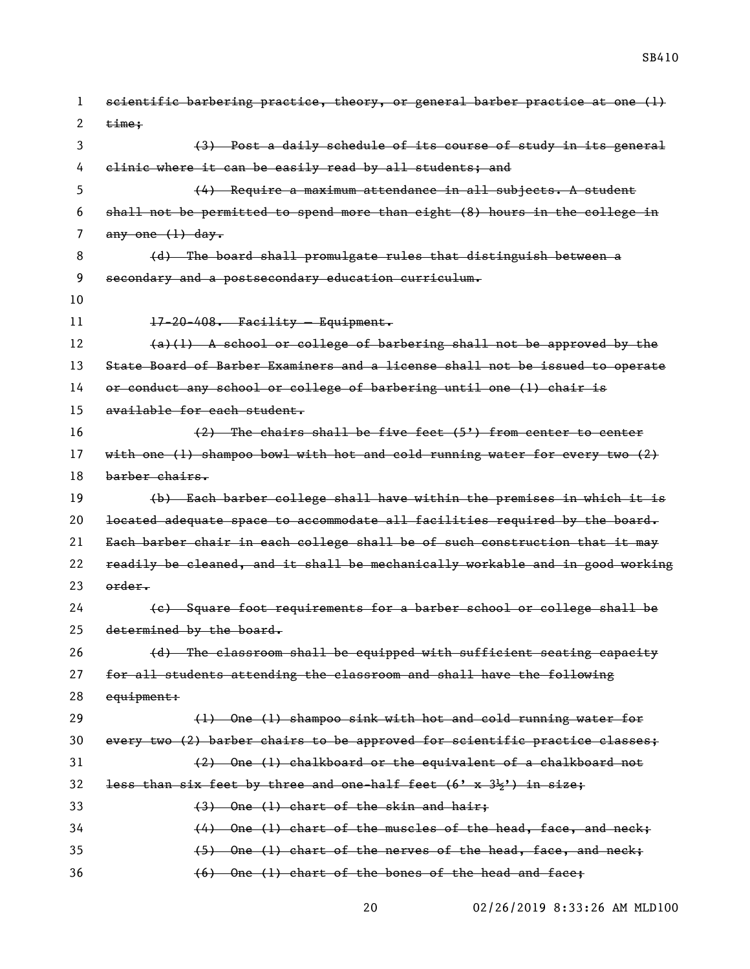scientific barbering practice, theory, or general barber practice at one (1)  $\times$   $\times$   $\times$  (3) Post a daily schedule of its course of study in its general 4 elinic where it can be easily read by all students; and (4) Require a maximum attendance in all subjects. A student shall not be permitted to spend more than eight (8) hours in the college in 7 any one  $(1)$  day. 8 (d) The board shall promulgate rules that distinguish between a secondary and a postsecondary education curriculum. 17-20-408. Facility — Equipment. (a)(1) A school or college of barbering shall not be approved by the State Board of Barber Examiners and a license shall not be issued to operate or conduct any school or college of barbering until one (1) chair is available for each student. (2) The chairs shall be five feet (5') from center to center with one (1) shampoo bowl with hot and cold running water for every two (2) barber chairs. (b) Each barber college shall have within the premises in which it is located adequate space to accommodate all facilities required by the board. Each barber chair in each college shall be of such construction that it may readily be cleaned, and it shall be mechanically workable and in good working order. (c) Square foot requirements for a barber school or college shall be 25 determined by the board. 26 (d) The classroom shall be equipped with sufficient seating capacity for all students attending the classroom and shall have the following equipment: 29 (1) One (1) shampoo sink with hot and cold running water for every two (2) barber chairs to be approved for scientific practice classes; (2) One (1) chalkboard or the equivalent of a chalkboard not 32 less than six feet by three and one-half feet  $(6' \times 3\frac{1}{2})$  in size; (3) One (1) chart of the skin and hair; (4) One (1) chart of the muscles of the head, face, and neck; (5) One (1) chart of the nerves of the head, face, and neck;

(6) One (1) chart of the bones of the head and face;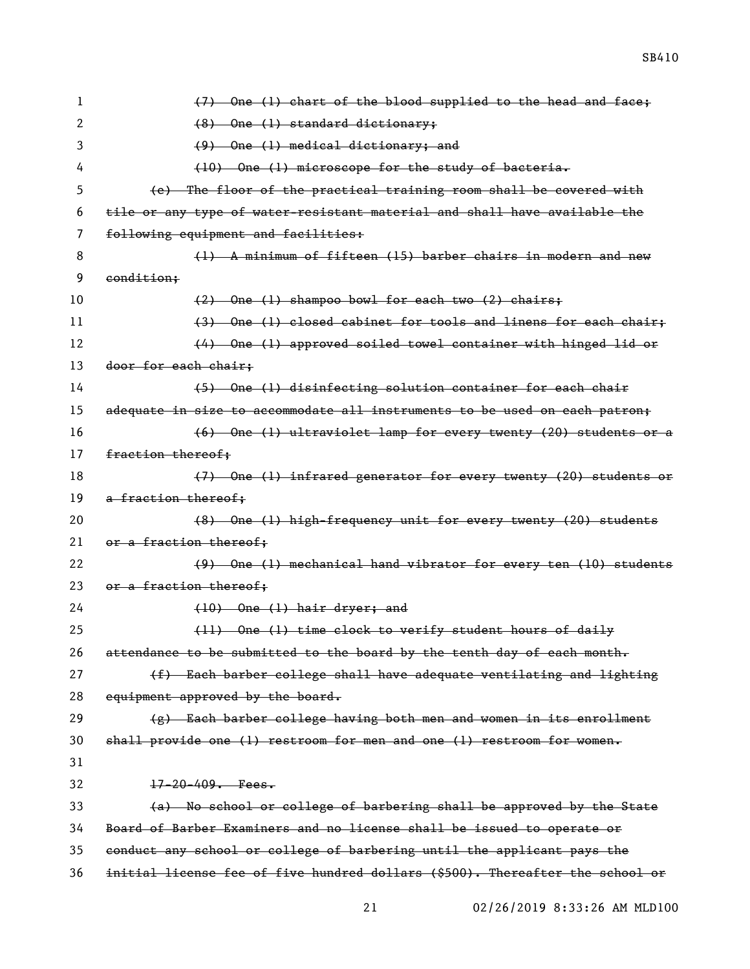| 1  | (7) One (1) chart of the blood supplied to the head and face;                 |
|----|-------------------------------------------------------------------------------|
| 2  | $(8)$ One (1) standard dictionary;                                            |
| 3  | $(9)$ One (1) medical dictionary; and                                         |
| 4  | $(10)$ One (1) microscope for the study of bacteria.                          |
| 5  | (e) The floor of the practical training room shall be covered with            |
| 6  | tile or any type of water-resistant material and shall have available the     |
| 7  | following equipment and facilities:                                           |
| 8  | (1) A minimum of fifteen (15) barber chairs in modern and new                 |
| 9  | condition:                                                                    |
| 10 | $(2)$ One (1) shampoo bowl for each two (2) chairs;                           |
| 11 | (3) One (1) closed cabinet for tools and linens for each chair;               |
| 12 | (4) One (1) approved soiled towel container with hinged lid or                |
| 13 | door for each chair:                                                          |
| 14 | (5) One (1) disinfecting solution container for each chair                    |
| 15 | adequate in size to accommodate all instruments to be used on each patron;    |
| 16 | (6) One (1) ultraviolet lamp for every twenty (20) students or a              |
| 17 | fraction thereof:                                                             |
| 18 | (7) One (1) infrared generator for every twenty (20) students or              |
| 19 | a fraction thereof;                                                           |
| 20 | (8) One (1) high-frequency unit for every twenty (20) students                |
| 21 | or a fraction thereof;                                                        |
| 22 | (9) One (1) mechanical hand vibrator for every ten (10) students              |
| 23 | or a fraction thereof;                                                        |
| 24 | $(10)$ One $(1)$ hair dryer; and                                              |
| 25 | (11) One (1) time clock to verify student hours of daily                      |
| 26 | attendance to be submitted to the board by the tenth day of each month.       |
| 27 | (f) Each barber college shall have adequate ventilating and lighting          |
| 28 | equipment approved by the board.                                              |
| 29 | (g) Each barber college having both men and women in its enrollment           |
| 30 | shall provide one (1) restroom for men and one (1) restroom for women.        |
| 31 |                                                                               |
| 32 | $17 - 20 - 409$ . Fees.                                                       |
| 33 | (a) No school or college of barbering shall be approved by the State          |
| 34 | Board of Barber Examiners and no license shall be issued to operate or        |
| 35 | conduct any school or college of barbering until the applicant pays the       |
| 36 | initial license fee of five hundred dollars (\$500). Thereafter the school or |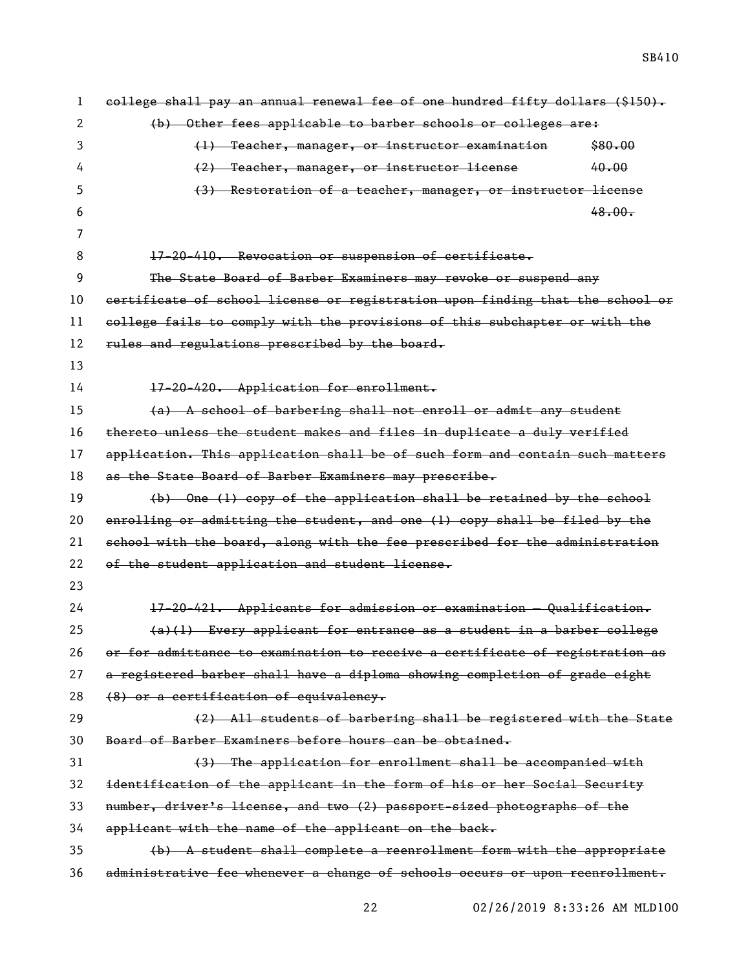| 1  | college shall pay an annual renewal fee of one hundred fifty dollars (\$150). |
|----|-------------------------------------------------------------------------------|
| 2  | (b) Other fees applicable to barber schools or colleges are:                  |
| 3  | (1) Teacher, manager, or instructor examination<br>\$80.00                    |
| 4  | 40.00<br>(2) Teacher, manager, or instructor license                          |
| 5  | (3) Restoration of a teacher, manager, or instructor license                  |
| 6  | 48.00.                                                                        |
| 7  |                                                                               |
| 8  | 17-20-410. Revocation or suspension of certificate.                           |
| 9  | The State Board of Barber Examiners may revoke or suspend any                 |
| 10 | certificate of school license or registration upon finding that the school or |
| 11 | college fails to comply with the provisions of this subchapter or with the    |
| 12 | rules and regulations prescribed by the board.                                |
| 13 |                                                                               |
| 14 | 17-20-420. Application for enrollment.                                        |
| 15 | (a) A school of barbering shall not enroll or admit any student               |
| 16 | thereto unless the student makes and files in duplicate a duly verified       |
| 17 | application. This application shall be of such form and contain such matters  |
| 18 | as the State Board of Barber Examiners may prescribe.                         |
| 19 | (b) One (1) copy of the application shall be retained by the school           |
| 20 | enrolling or admitting the student, and one (1) copy shall be filed by the    |
| 21 | school with the board, along with the fee prescribed for the administration   |
| 22 | of the student application and student license.                               |
| 23 |                                                                               |
| 24 | 17-20-421. Applicants for admission or examination - Qualification.           |
| 25 | $(a)(1)$ Every applicant for entrance as a student in a barber college        |
| 26 | or for admittance to examination to receive a certificate of registration as  |
| 27 | a registered barber shall have a diploma showing completion of grade eight    |
| 28 | (8) or a certification of equivalency.                                        |
| 29 | (2) All students of barbering shall be registered with the State              |
| 30 | Board of Barber Examiners before hours can be obtained.                       |
| 31 | (3) The application for enrollment shall be accompanied with                  |
| 32 | identification of the applicant in the form of his or her Social Security     |
| 33 | number, driver's license, and two (2) passport-sized photographs of the       |
| 34 | applicant with the name of the applicant on the back.                         |
| 35 | (b) A student shall complete a reenrollment form with the appropriate         |
| 36 | administrative fee whenever a change of schools occurs or upon reenrollment.  |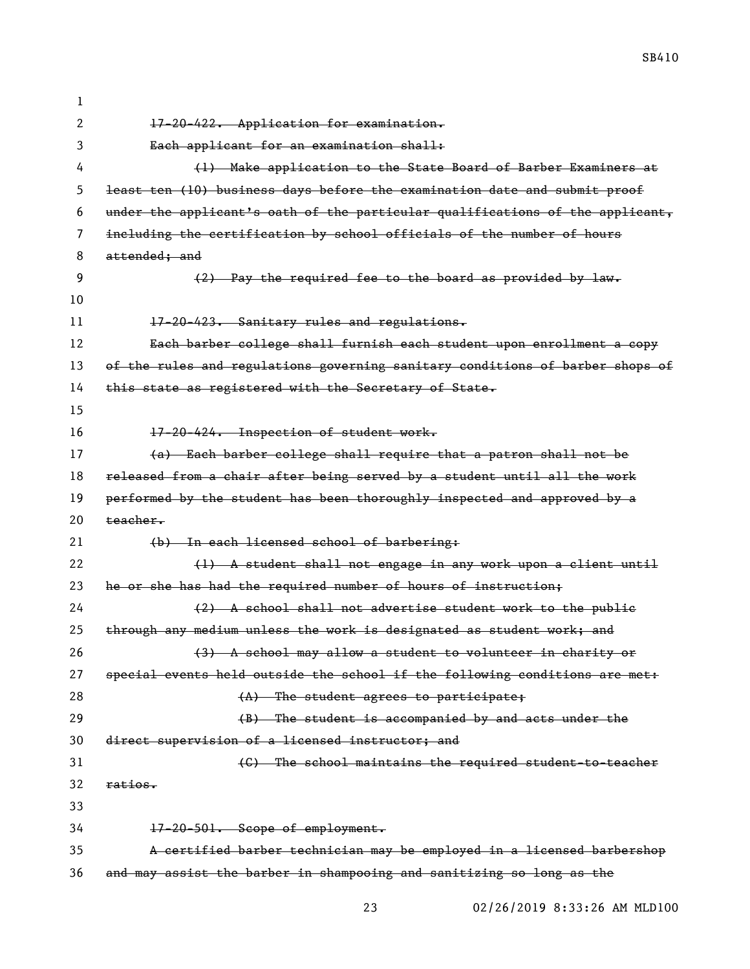17-20-422. Application for examination. Each applicant for an examination shall: (1) Make application to the State Board of Barber Examiners at least ten (10) business days before the examination date and submit proof 6 under the applicant's oath of the particular qualifications of the applicant, including the certification by school officials of the number of hours 8 attended: and (2) Pay the required fee to the board as provided by law. 11 17-20-423. Sanitary rules and regulations. Each barber college shall furnish each student upon enrollment a copy 13 of the rules and regulations governing sanitary conditions of barber shops of 14 this state as registered with the Secretary of State. 16 17-20-424. Inspection of student work. (a) Each barber college shall require that a patron shall not be released from a chair after being served by a student until all the work 19 performed by the student has been thoroughly inspected and approved by a  $20 \text{ teacher}$ 21 (b) In each licensed school of barbering: 22 (1) A student shall not engage in any work upon a client until 23 he or she has had the required number of hours of instruction; (2) A school shall not advertise student work to the public 25 through any medium unless the work is designated as student work; and (3) A school may allow a student to volunteer in charity or special events held outside the school if the following conditions are met: 28 (A) The student agrees to participate: (B) The student is accompanied by and acts under the direct supervision of a licensed instructor; and (C) The school maintains the required student-to-teacher ratios. 17-20-501. Scope of employment. A certified barber technician may be employed in a licensed barbershop and may assist the barber in shampooing and sanitizing so long as the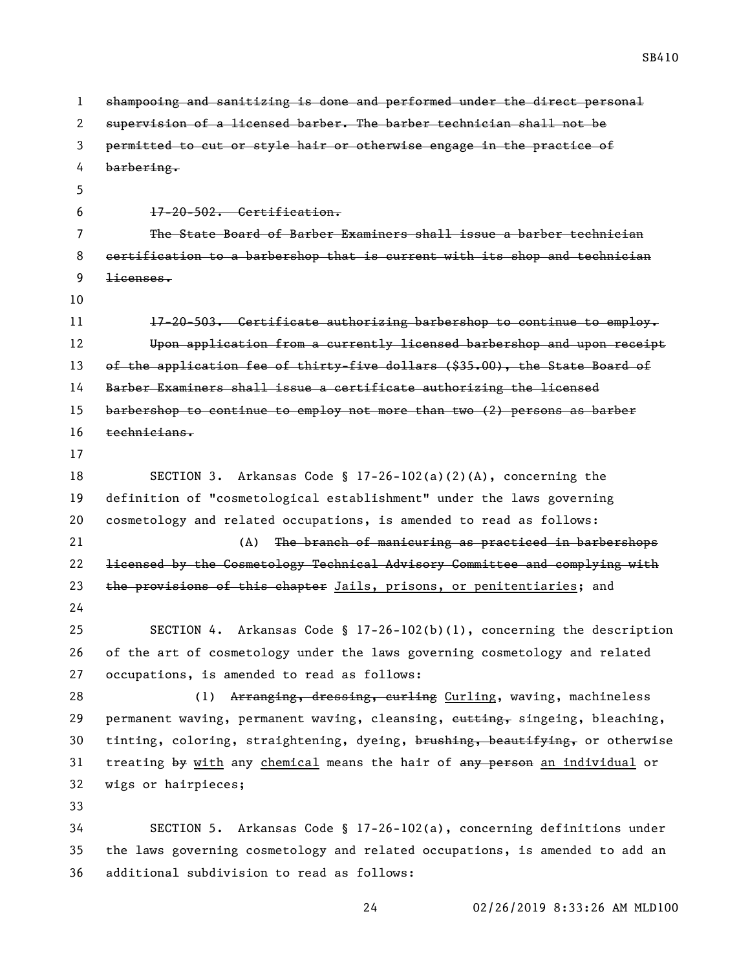| $\mathbf{1}$ | shampooing and sanitizing is done and performed under the direct personal     |
|--------------|-------------------------------------------------------------------------------|
| 2            | supervision of a licensed barber. The barber technician shall not be          |
| 3            | permitted to cut or style hair or otherwise engage in the practice of         |
| 4            | barbering.                                                                    |
| 5            |                                                                               |
| 6            | 17-20-502. Certification.                                                     |
| 7            | The State Board of Barber Examiners shall issue a barber technician           |
| 8            | certification to a barbershop that is current with its shop and technician    |
| 9            | licenses.                                                                     |
| 10           |                                                                               |
| 11           | 17-20-503. Certificate authorizing barbershop to continue to employ.          |
| 12           | Upon application from a currently licensed barbershop and upon receipt        |
| 13           | of the application fee of thirty-five dollars (\$35.00), the State Board of   |
| 14           | Barber Examiners shall issue a certificate authorizing the licensed           |
| 15           | barbershop to continue to employ not more than two (2) persons as barber      |
| 16           | technicians.                                                                  |
| 17           |                                                                               |
| 18           | Arkansas Code § 17-26-102(a)(2)(A), concerning the<br>SECTION 3.              |
| 19           | definition of "cosmetological establishment" under the laws governing         |
| 20           | cosmetology and related occupations, is amended to read as follows:           |
| 21           | (A)<br>The branch of manicuring as practiced in barbershops                   |
| 22           | licensed by the Cosmetology Technical Advisory Committee and complying with   |
| 23           | the provisions of this chapter Jails, prisons, or penitentiaries; and         |
| 24           |                                                                               |
| 25           | SECTION 4. Arkansas Code § 17-26-102(b)(1), concerning the description        |
| 26           | of the art of cosmetology under the laws governing cosmetology and related    |
| 27           | occupations, is amended to read as follows:                                   |
| 28           | Arranging, dressing, curling Curling, waving, machineless<br>(1)              |
| 29           | permanent waving, permanent waving, cleansing, eutting, singeing, bleaching,  |
| 30           | tinting, coloring, straightening, dyeing, brushing, beautifying, or otherwise |
| 31           | treating by with any chemical means the hair of any person an individual or   |
| 32           | wigs or hairpieces;                                                           |
| 33           |                                                                               |
| 34           | SECTION 5. Arkansas Code § $17-26-102(a)$ , concerning definitions under      |
| 35           | the laws governing cosmetology and related occupations, is amended to add an  |
| 36           | additional subdivision to read as follows:                                    |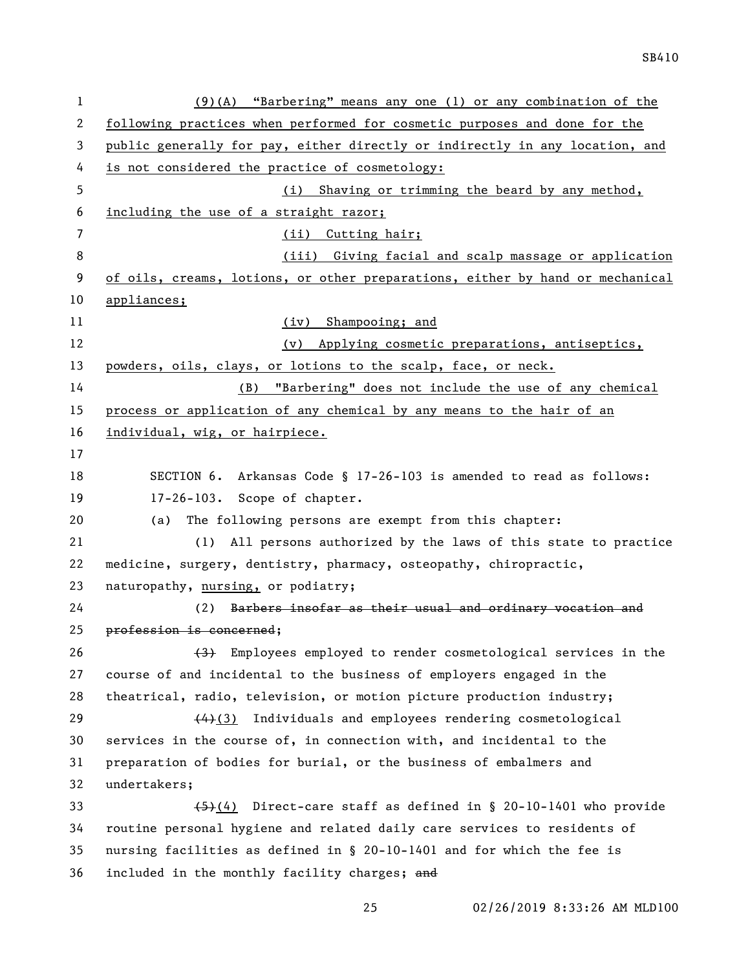| $\mathbf 1$  | $(9)(A)$ "Barbering" means any one (1) or any combination of the              |
|--------------|-------------------------------------------------------------------------------|
| $\mathbf{2}$ | following practices when performed for cosmetic purposes and done for the     |
| 3            | public generally for pay, either directly or indirectly in any location, and  |
| 4            | is not considered the practice of cosmetology:                                |
| 5            | (i) Shaving or trimming the beard by any method,                              |
| 6            | including the use of a straight razor;                                        |
| 7            | (ii) Cutting hair;                                                            |
| 8            | (iii) Giving facial and scalp massage or application                          |
| 9            | of oils, creams, lotions, or other preparations, either by hand or mechanical |
| 10           | appliances;                                                                   |
| 11           | (iv) Shampooing; and                                                          |
| 12           | (v) Applying cosmetic preparations, antiseptics,                              |
| 13           | powders, oils, clays, or lotions to the scalp, face, or neck.                 |
| 14           | "Barbering" does not include the use of any chemical<br>(B)                   |
| 15           | process or application of any chemical by any means to the hair of an         |
| 16           | individual, wig, or hairpiece.                                                |
| 17           |                                                                               |
| 18           | SECTION 6. Arkansas Code § 17-26-103 is amended to read as follows:           |
| 19           | 17-26-103. Scope of chapter.                                                  |
| 20           | The following persons are exempt from this chapter:<br>(a)                    |
| 21           | (1) All persons authorized by the laws of this state to practice              |
| 22           | medicine, surgery, dentistry, pharmacy, osteopathy, chiropractic,             |
| 23           | naturopathy, nursing, or podiatry;                                            |
| 24           | Barbers insofar as their usual and ordinary vocation and<br>(2)               |
| 25           | profession is concerned;                                                      |
| 26           | Employees employed to render cosmetological services in the<br><del>(3)</del> |
| 27           | course of and incidental to the business of employers engaged in the          |
| 28           | theatrical, radio, television, or motion picture production industry;         |
| 29           | $(4)(3)$ Individuals and employees rendering cosmetological                   |
| 30           | services in the course of, in connection with, and incidental to the          |
| 31           | preparation of bodies for burial, or the business of embalmers and            |
| 32           | undertakers;                                                                  |
| 33           | $\overline{(4)}$ Direct-care staff as defined in § 20-10-1401 who provide     |
| 34           | routine personal hygiene and related daily care services to residents of      |
| 35           | nursing facilities as defined in § 20-10-1401 and for which the fee is        |
| 36           | included in the monthly facility charges; and                                 |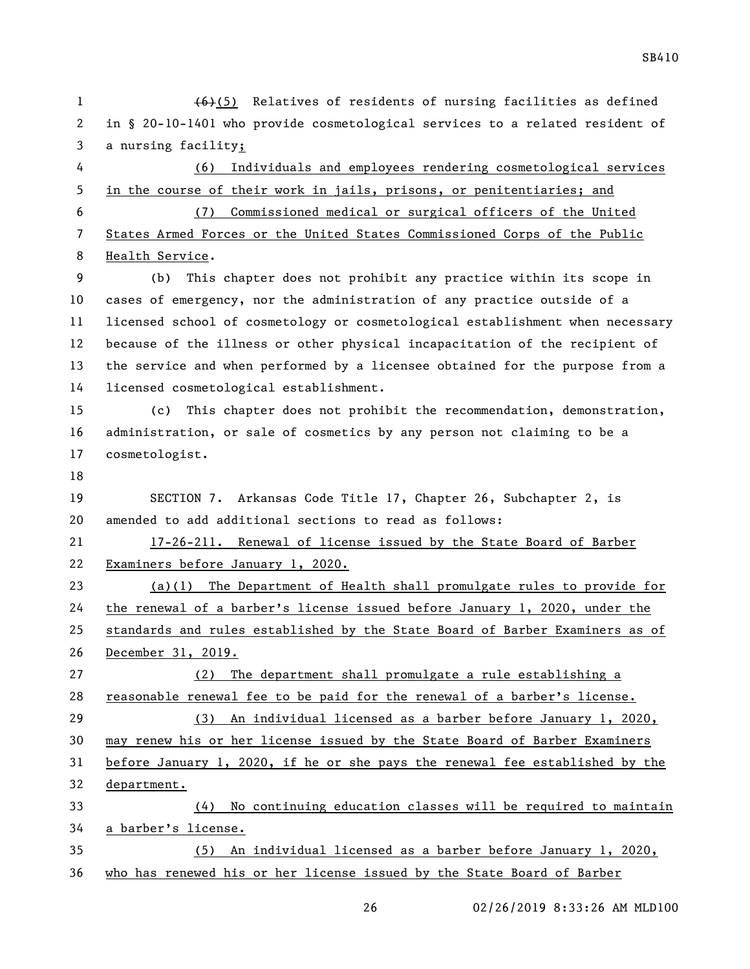1 (6)(5) Relatives of residents of nursing facilities as defined in § 20-10-1401 who provide cosmetological services to a related resident of a nursing facility; (6) Individuals and employees rendering cosmetological services in the course of their work in jails, prisons, or penitentiaries; and (7) Commissioned medical or surgical officers of the United States Armed Forces or the United States Commissioned Corps of the Public Health Service. (b) This chapter does not prohibit any practice within its scope in cases of emergency, nor the administration of any practice outside of a licensed school of cosmetology or cosmetological establishment when necessary because of the illness or other physical incapacitation of the recipient of the service and when performed by a licensee obtained for the purpose from a licensed cosmetological establishment. (c) This chapter does not prohibit the recommendation, demonstration, administration, or sale of cosmetics by any person not claiming to be a cosmetologist. SECTION 7. Arkansas Code Title 17, Chapter 26, Subchapter 2, is amended to add additional sections to read as follows: 17-26-211. Renewal of license issued by the State Board of Barber Examiners before January 1, 2020. (a)(1) The Department of Health shall promulgate rules to provide for the renewal of a barber's license issued before January 1, 2020, under the standards and rules established by the State Board of Barber Examiners as of December 31, 2019. (2) The department shall promulgate a rule establishing a reasonable renewal fee to be paid for the renewal of a barber's license. (3) An individual licensed as a barber before January 1, 2020, may renew his or her license issued by the State Board of Barber Examiners before January 1, 2020, if he or she pays the renewal fee established by the department. (4) No continuing education classes will be required to maintain a barber's license. (5) An individual licensed as a barber before January 1, 2020, who has renewed his or her license issued by the State Board of Barber

SB410

02/26/2019 8:33:26 AM MLD100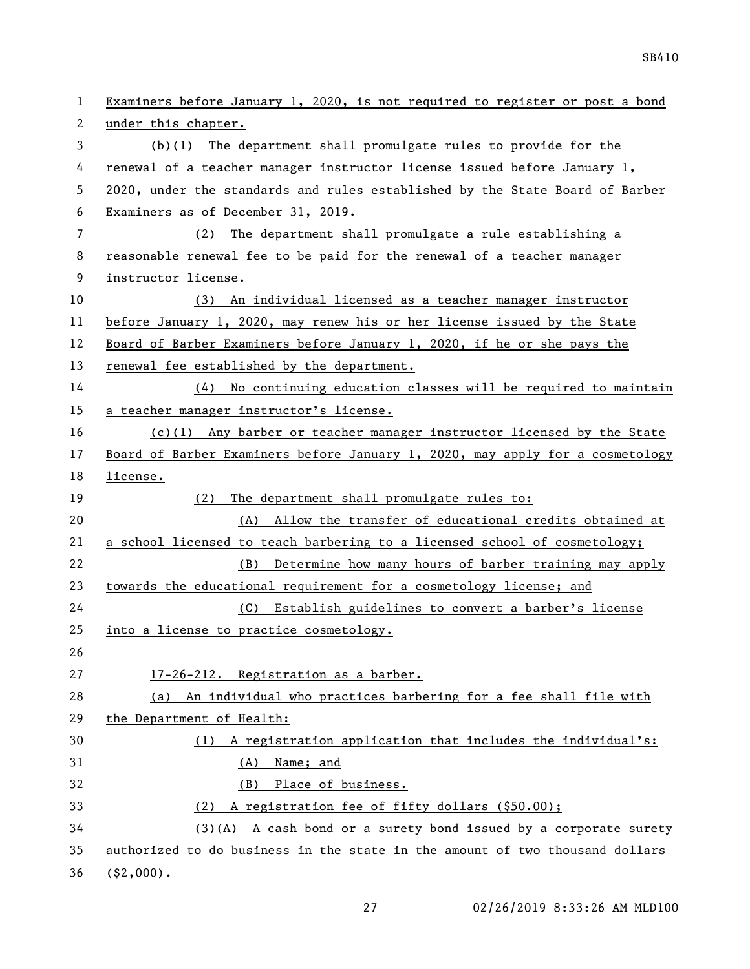| 1  | Examiners before January 1, 2020, is not required to register or post a bond  |
|----|-------------------------------------------------------------------------------|
| 2  | under this chapter.                                                           |
| 3  | $(b)(1)$ The department shall promulgate rules to provide for the             |
| 4  | renewal of a teacher manager instructor license issued before January 1,      |
| 5  | 2020, under the standards and rules established by the State Board of Barber  |
| 6  | Examiners as of December 31, 2019.                                            |
| 7  | (2)<br>The department shall promulgate a rule establishing a                  |
| 8  | reasonable renewal fee to be paid for the renewal of a teacher manager        |
| 9  | instructor license.                                                           |
| 10 | (3) An individual licensed as a teacher manager instructor                    |
| 11 | before January 1, 2020, may renew his or her license issued by the State      |
| 12 | Board of Barber Examiners before January 1, 2020, if he or she pays the       |
| 13 | renewal fee established by the department.                                    |
| 14 | $(4)$ No continuing education classes will be required to maintain            |
| 15 | a teacher manager instructor's license.                                       |
| 16 | $(c)(1)$ Any barber or teacher manager instructor licensed by the State       |
| 17 | Board of Barber Examiners before January 1, 2020, may apply for a cosmetology |
| 18 | license.                                                                      |
| 19 | The department shall promulgate rules to:<br>(2)                              |
| 20 | (A) Allow the transfer of educational credits obtained at                     |
| 21 | a school licensed to teach barbering to a licensed school of cosmetology;     |
| 22 | Determine how many hours of barber training may apply<br>(B)                  |
| 23 | towards the educational requirement for a cosmetology license; and            |
| 24 | (C) Establish guidelines to convert a barber's license                        |
| 25 | into a license to practice cosmetology.                                       |
| 26 |                                                                               |
| 27 | 17-26-212. Registration as a barber.                                          |
| 28 | (a) An individual who practices barbering for a fee shall file with           |
| 29 | the Department of Health:                                                     |
| 30 | (1) A registration application that includes the individual's:                |
| 31 | Name; and<br>(A)                                                              |
| 32 | (B) Place of business.                                                        |
| 33 | (2) A registration fee of fifty dollars (\$50.00);                            |
| 34 | $(3)(A)$ A cash bond or a surety bond issued by a corporate surety            |
| 35 | authorized to do business in the state in the amount of two thousand dollars  |
| 36 | $($ \$2,000).                                                                 |